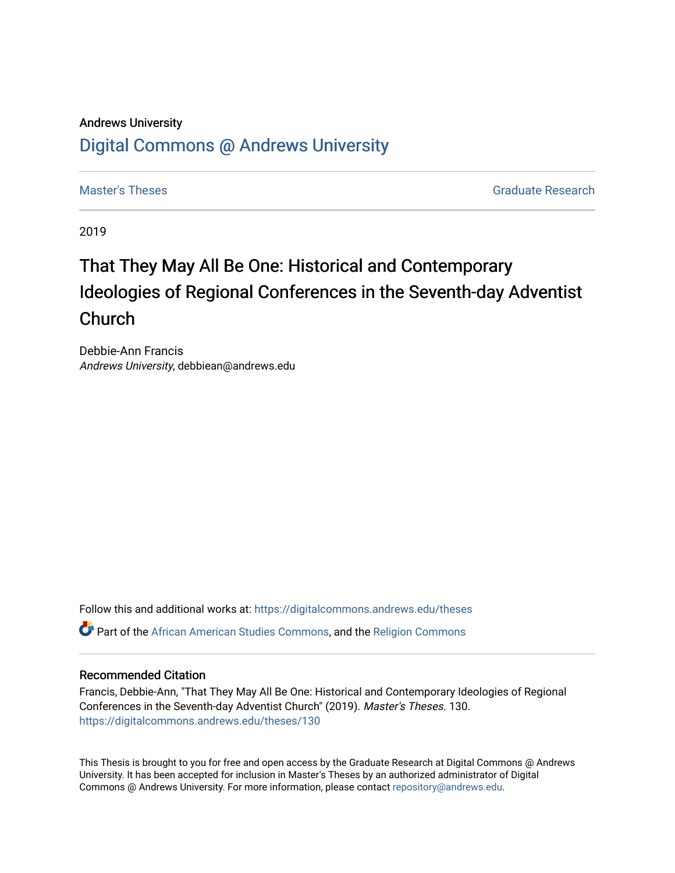# Andrews University [Digital Commons @ Andrews University](https://digitalcommons.andrews.edu/)

[Master's Theses](https://digitalcommons.andrews.edu/theses) Graduate Research

2019

# That They May All Be One: Historical and Contemporary Ideologies of Regional Conferences in the Seventh-day Adventist Church

Debbie-Ann Francis Andrews University, debbiean@andrews.edu

Follow this and additional works at: [https://digitalcommons.andrews.edu/theses](https://digitalcommons.andrews.edu/theses?utm_source=digitalcommons.andrews.edu%2Ftheses%2F130&utm_medium=PDF&utm_campaign=PDFCoverPages)  Part of the [African American Studies Commons,](http://network.bepress.com/hgg/discipline/567?utm_source=digitalcommons.andrews.edu%2Ftheses%2F130&utm_medium=PDF&utm_campaign=PDFCoverPages) and the [Religion Commons](http://network.bepress.com/hgg/discipline/538?utm_source=digitalcommons.andrews.edu%2Ftheses%2F130&utm_medium=PDF&utm_campaign=PDFCoverPages) 

#### Recommended Citation

Francis, Debbie-Ann, "That They May All Be One: Historical and Contemporary Ideologies of Regional Conferences in the Seventh-day Adventist Church" (2019). Master's Theses. 130. [https://digitalcommons.andrews.edu/theses/130](https://digitalcommons.andrews.edu/theses/130?utm_source=digitalcommons.andrews.edu%2Ftheses%2F130&utm_medium=PDF&utm_campaign=PDFCoverPages) 

This Thesis is brought to you for free and open access by the Graduate Research at Digital Commons @ Andrews University. It has been accepted for inclusion in Master's Theses by an authorized administrator of Digital Commons @ Andrews University. For more information, please contact [repository@andrews.edu.](mailto:repository@andrews.edu)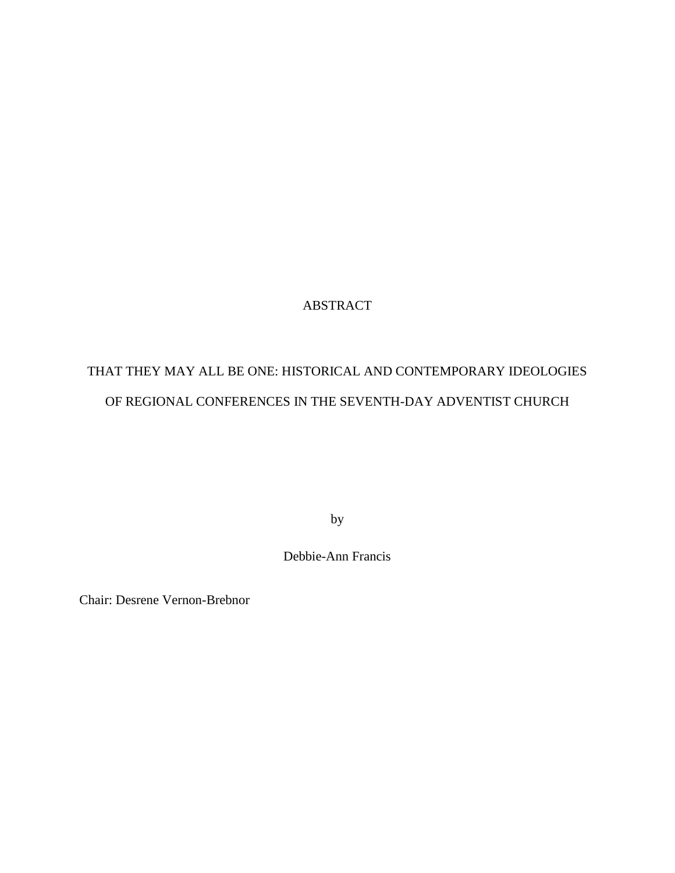### ABSTRACT

# THAT THEY MAY ALL BE ONE: HISTORICAL AND CONTEMPORARY IDEOLOGIES OF REGIONAL CONFERENCES IN THE SEVENTH-DAY ADVENTIST CHURCH

by

Debbie-Ann Francis

Chair: Desrene Vernon-Brebnor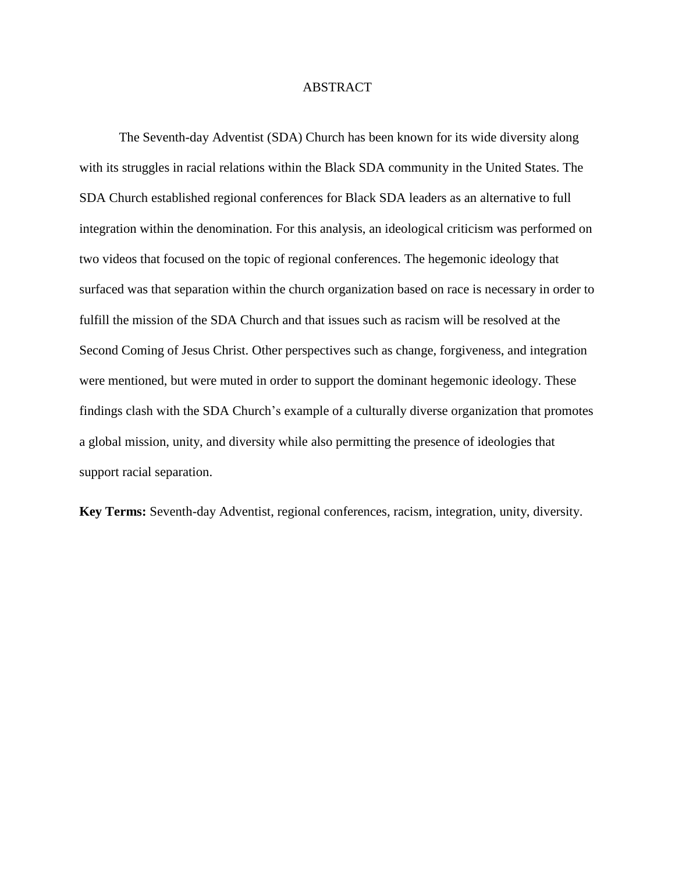#### ABSTRACT

The Seventh-day Adventist (SDA) Church has been known for its wide diversity along with its struggles in racial relations within the Black SDA community in the United States. The SDA Church established regional conferences for Black SDA leaders as an alternative to full integration within the denomination. For this analysis, an ideological criticism was performed on two videos that focused on the topic of regional conferences. The hegemonic ideology that surfaced was that separation within the church organization based on race is necessary in order to fulfill the mission of the SDA Church and that issues such as racism will be resolved at the Second Coming of Jesus Christ. Other perspectives such as change, forgiveness, and integration were mentioned, but were muted in order to support the dominant hegemonic ideology. These findings clash with the SDA Church's example of a culturally diverse organization that promotes a global mission, unity, and diversity while also permitting the presence of ideologies that support racial separation.

**Key Terms:** Seventh-day Adventist, regional conferences, racism, integration, unity, diversity.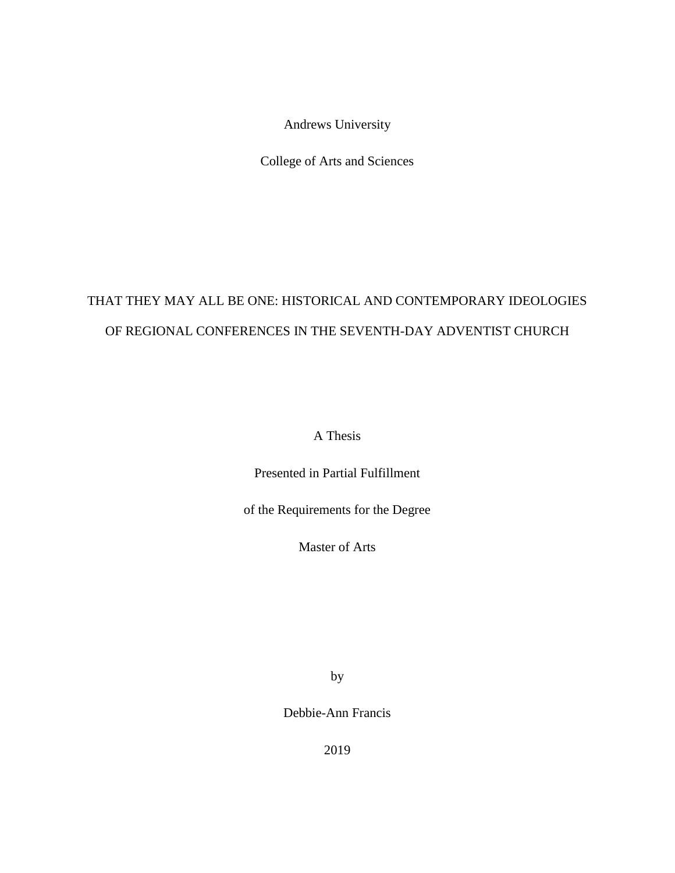Andrews University

College of Arts and Sciences

# THAT THEY MAY ALL BE ONE: HISTORICAL AND CONTEMPORARY IDEOLOGIES OF REGIONAL CONFERENCES IN THE SEVENTH-DAY ADVENTIST CHURCH

A Thesis

Presented in Partial Fulfillment

of the Requirements for the Degree

Master of Arts

by

Debbie-Ann Francis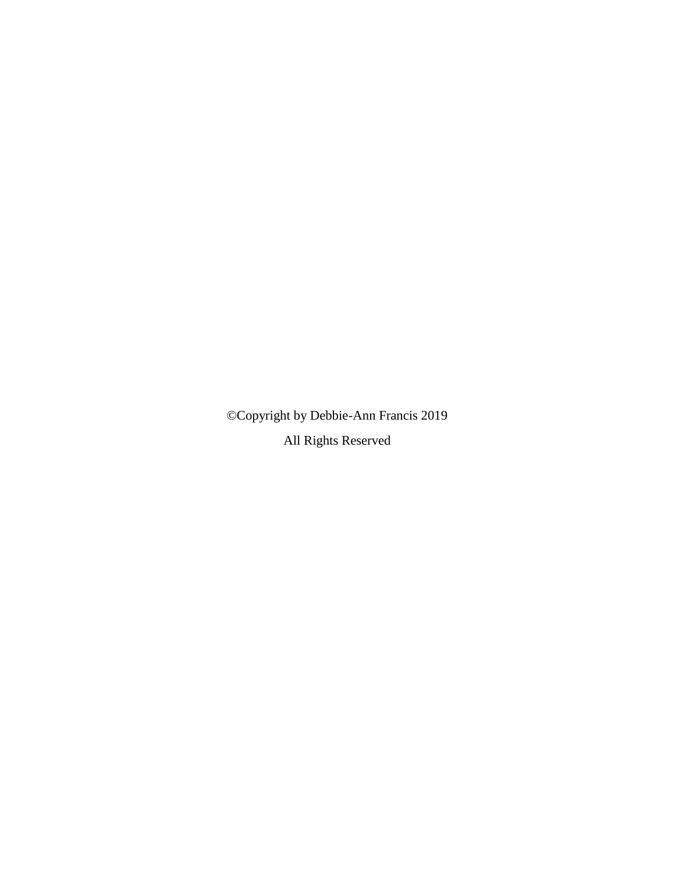©Copyright by Debbie-Ann Francis 2019

All Rights Reserved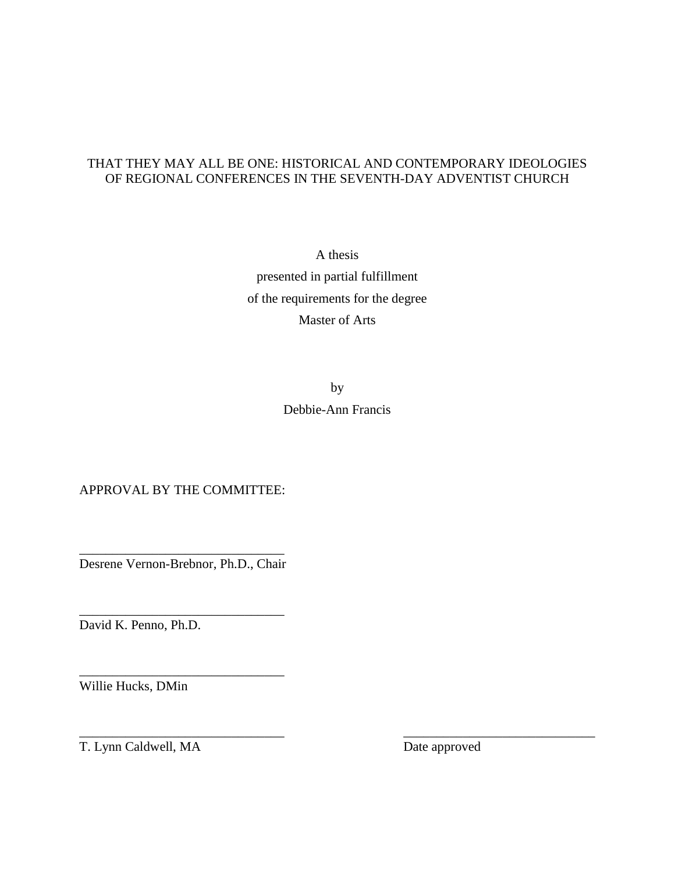### THAT THEY MAY ALL BE ONE: HISTORICAL AND CONTEMPORARY IDEOLOGIES OF REGIONAL CONFERENCES IN THE SEVENTH-DAY ADVENTIST CHURCH

A thesis presented in partial fulfillment of the requirements for the degree Master of Arts

> by Debbie-Ann Francis

 $\overline{\phantom{a}}$  , and the contract of the contract of the contract of the contract of the contract of the contract of the contract of the contract of the contract of the contract of the contract of the contract of the contrac

APPROVAL BY THE COMMITTEE:

\_\_\_\_\_\_\_\_\_\_\_\_\_\_\_\_\_\_\_\_\_\_\_\_\_\_\_\_\_\_\_ Desrene Vernon-Brebnor, Ph.D., Chair

\_\_\_\_\_\_\_\_\_\_\_\_\_\_\_\_\_\_\_\_\_\_\_\_\_\_\_\_\_\_\_

\_\_\_\_\_\_\_\_\_\_\_\_\_\_\_\_\_\_\_\_\_\_\_\_\_\_\_\_\_\_\_

David K. Penno, Ph.D.

Willie Hucks, DMin

T. Lynn Caldwell, MA Date approved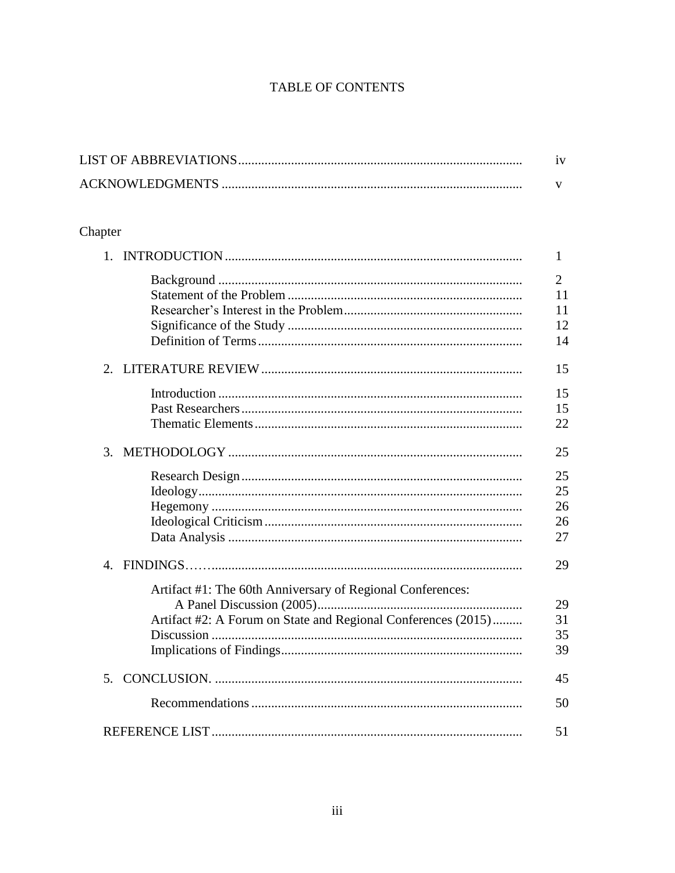# TABLE OF CONTENTS

# Chapter

| 1.                                                            | 1              |
|---------------------------------------------------------------|----------------|
|                                                               | $\overline{2}$ |
|                                                               | 11             |
|                                                               | 11             |
|                                                               | 12             |
|                                                               | 14             |
|                                                               | 15             |
|                                                               | 15             |
|                                                               | 15             |
|                                                               | 22             |
| 3.                                                            | 25             |
|                                                               | 25             |
|                                                               | 25             |
|                                                               | 26             |
|                                                               | 26             |
|                                                               | 27             |
| $\mathbf{4}$ .                                                | 29             |
| Artifact #1: The 60th Anniversary of Regional Conferences:    |                |
|                                                               | 29             |
| Artifact #2: A Forum on State and Regional Conferences (2015) | 31             |
|                                                               | 35             |
|                                                               | 39             |
|                                                               | 45             |
|                                                               | 50             |
|                                                               | 51             |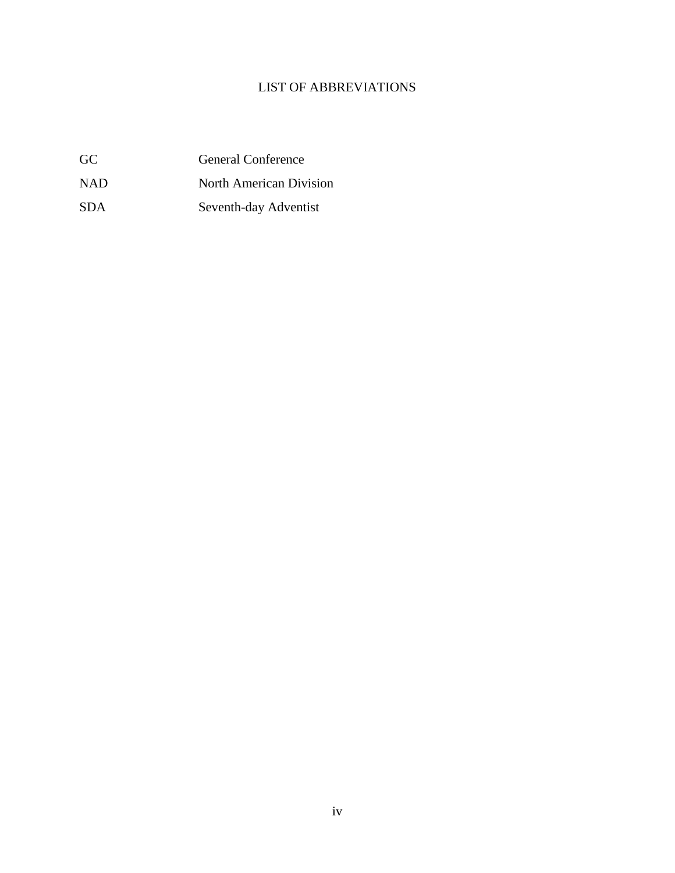# LIST OF ABBREVIATIONS

| GC | <b>General Conference</b> |
|----|---------------------------|
|    |                           |

- NAD North American Division
- SDA Seventh-day Adventist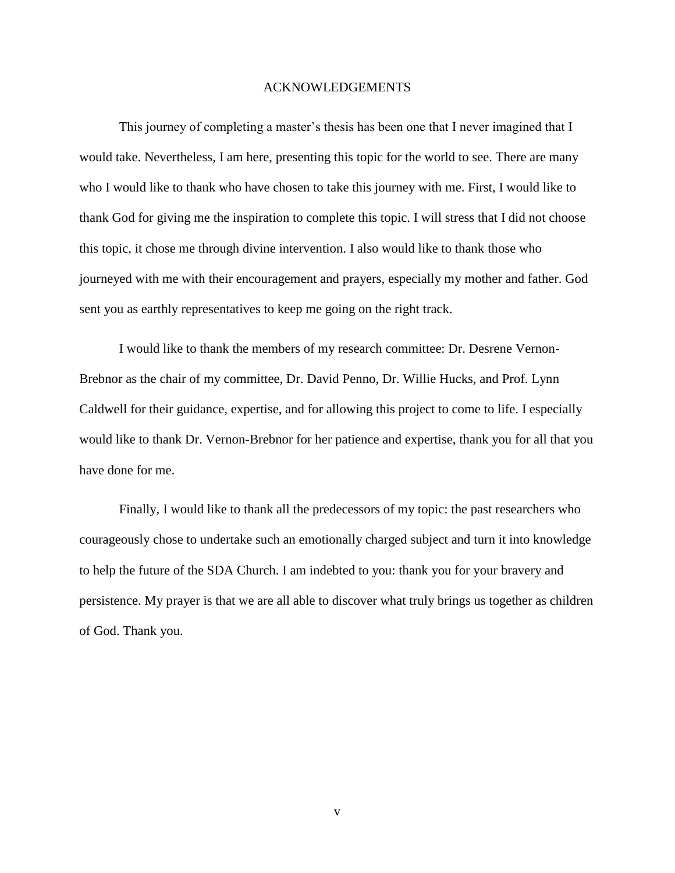#### ACKNOWLEDGEMENTS

This journey of completing a master's thesis has been one that I never imagined that I would take. Nevertheless, I am here, presenting this topic for the world to see. There are many who I would like to thank who have chosen to take this journey with me. First, I would like to thank God for giving me the inspiration to complete this topic. I will stress that I did not choose this topic, it chose me through divine intervention. I also would like to thank those who journeyed with me with their encouragement and prayers, especially my mother and father. God sent you as earthly representatives to keep me going on the right track.

I would like to thank the members of my research committee: Dr. Desrene Vernon-Brebnor as the chair of my committee, Dr. David Penno, Dr. Willie Hucks, and Prof. Lynn Caldwell for their guidance, expertise, and for allowing this project to come to life. I especially would like to thank Dr. Vernon-Brebnor for her patience and expertise, thank you for all that you have done for me.

Finally, I would like to thank all the predecessors of my topic: the past researchers who courageously chose to undertake such an emotionally charged subject and turn it into knowledge to help the future of the SDA Church. I am indebted to you: thank you for your bravery and persistence. My prayer is that we are all able to discover what truly brings us together as children of God. Thank you.

v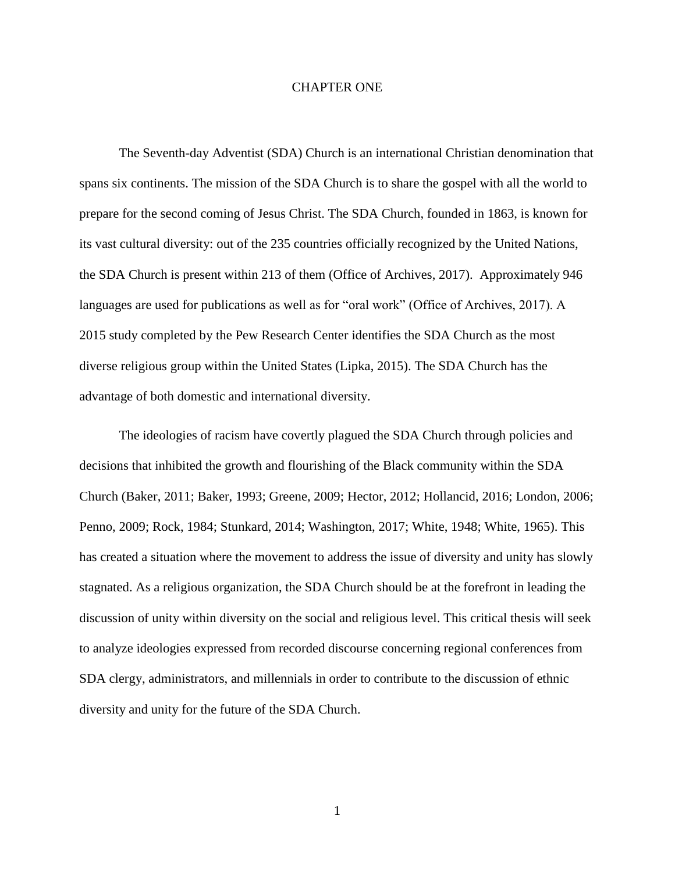#### CHAPTER ONE

The Seventh-day Adventist (SDA) Church is an international Christian denomination that spans six continents. The mission of the SDA Church is to share the gospel with all the world to prepare for the second coming of Jesus Christ. The SDA Church, founded in 1863, is known for its vast cultural diversity: out of the 235 countries officially recognized by the United Nations, the SDA Church is present within 213 of them (Office of Archives, 2017). Approximately 946 languages are used for publications as well as for "oral work" (Office of Archives, 2017). A 2015 study completed by the Pew Research Center identifies the SDA Church as the most diverse religious group within the United States (Lipka, 2015). The SDA Church has the advantage of both domestic and international diversity.

The ideologies of racism have covertly plagued the SDA Church through policies and decisions that inhibited the growth and flourishing of the Black community within the SDA Church (Baker, 2011; Baker, 1993; Greene, 2009; Hector, 2012; Hollancid, 2016; London, 2006; Penno, 2009; Rock, 1984; Stunkard, 2014; Washington, 2017; White, 1948; White, 1965). This has created a situation where the movement to address the issue of diversity and unity has slowly stagnated. As a religious organization, the SDA Church should be at the forefront in leading the discussion of unity within diversity on the social and religious level. This critical thesis will seek to analyze ideologies expressed from recorded discourse concerning regional conferences from SDA clergy, administrators, and millennials in order to contribute to the discussion of ethnic diversity and unity for the future of the SDA Church.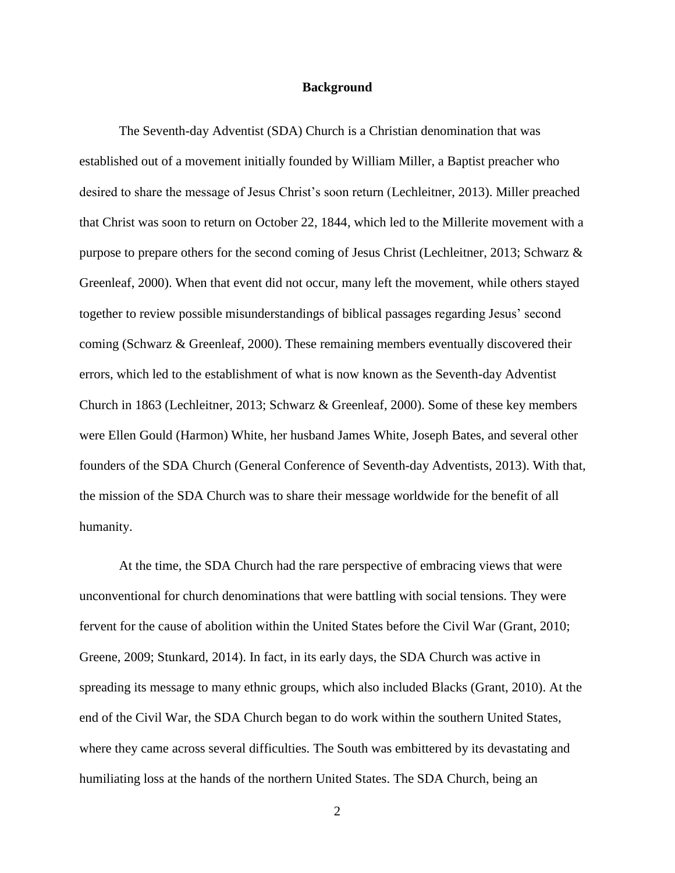#### **Background**

The Seventh-day Adventist (SDA) Church is a Christian denomination that was established out of a movement initially founded by William Miller, a Baptist preacher who desired to share the message of Jesus Christ's soon return (Lechleitner, 2013). Miller preached that Christ was soon to return on October 22, 1844, which led to the Millerite movement with a purpose to prepare others for the second coming of Jesus Christ (Lechleitner, 2013; Schwarz & Greenleaf, 2000). When that event did not occur, many left the movement, while others stayed together to review possible misunderstandings of biblical passages regarding Jesus' second coming (Schwarz & Greenleaf, 2000). These remaining members eventually discovered their errors, which led to the establishment of what is now known as the Seventh-day Adventist Church in 1863 (Lechleitner, 2013; Schwarz & Greenleaf, 2000). Some of these key members were Ellen Gould (Harmon) White, her husband James White, Joseph Bates, and several other founders of the SDA Church (General Conference of Seventh-day Adventists, 2013). With that, the mission of the SDA Church was to share their message worldwide for the benefit of all humanity.

At the time, the SDA Church had the rare perspective of embracing views that were unconventional for church denominations that were battling with social tensions. They were fervent for the cause of abolition within the United States before the Civil War (Grant, 2010; Greene, 2009; Stunkard, 2014). In fact, in its early days, the SDA Church was active in spreading its message to many ethnic groups, which also included Blacks (Grant, 2010). At the end of the Civil War, the SDA Church began to do work within the southern United States, where they came across several difficulties. The South was embittered by its devastating and humiliating loss at the hands of the northern United States. The SDA Church, being an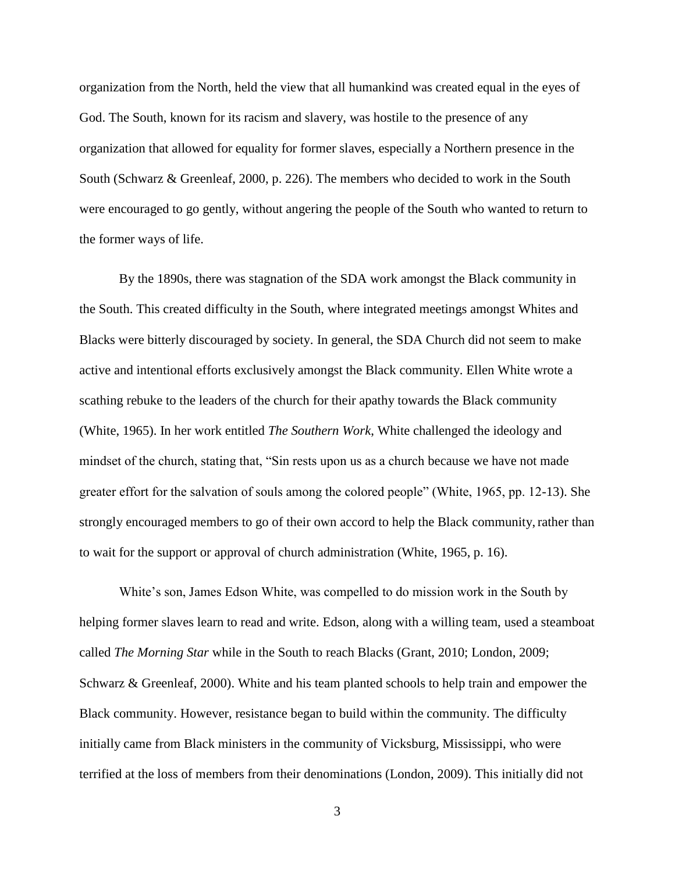organization from the North, held the view that all humankind was created equal in the eyes of God. The South, known for its racism and slavery, was hostile to the presence of any organization that allowed for equality for former slaves, especially a Northern presence in the South (Schwarz & Greenleaf, 2000, p. 226). The members who decided to work in the South were encouraged to go gently, without angering the people of the South who wanted to return to the former ways of life.

By the 1890s, there was stagnation of the SDA work amongst the Black community in the South. This created difficulty in the South, where integrated meetings amongst Whites and Blacks were bitterly discouraged by society. In general, the SDA Church did not seem to make active and intentional efforts exclusively amongst the Black community. Ellen White wrote a scathing rebuke to the leaders of the church for their apathy towards the Black community (White, 1965). In her work entitled *The Southern Work*, White challenged the ideology and mindset of the church, stating that, "Sin rests upon us as a church because we have not made greater effort for the salvation of souls among the colored people" (White, 1965, pp. 12-13). She strongly encouraged members to go of their own accord to help the Black community, rather than to wait for the support or approval of church administration (White, 1965, p. 16).

White's son, James Edson White, was compelled to do mission work in the South by helping former slaves learn to read and write. Edson, along with a willing team, used a steamboat called *The Morning Star* while in the South to reach Blacks (Grant, 2010; London, 2009; Schwarz & Greenleaf, 2000). White and his team planted schools to help train and empower the Black community. However, resistance began to build within the community. The difficulty initially came from Black ministers in the community of Vicksburg, Mississippi, who were terrified at the loss of members from their denominations (London, 2009). This initially did not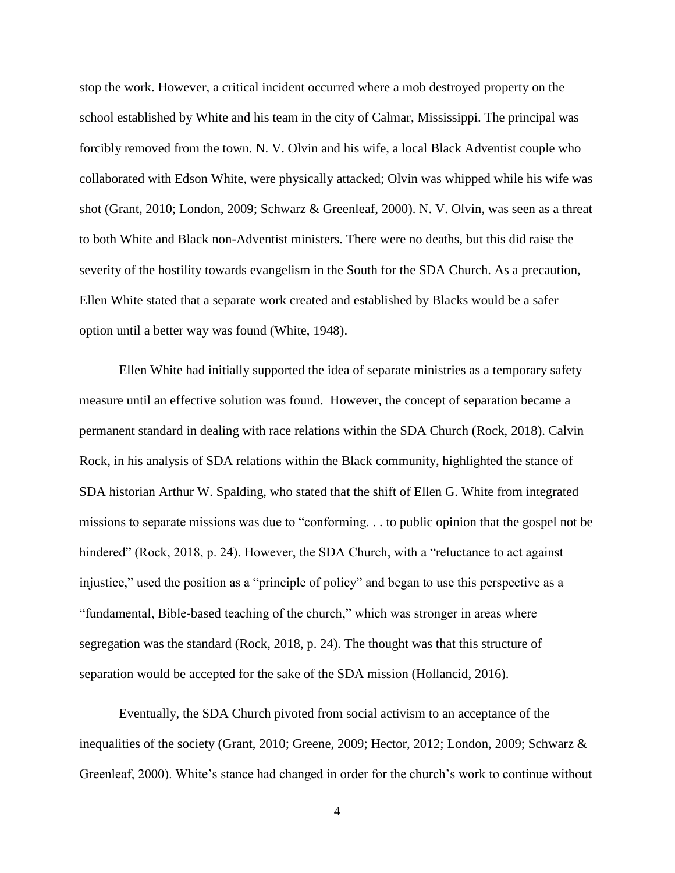stop the work. However, a critical incident occurred where a mob destroyed property on the school established by White and his team in the city of Calmar, Mississippi. The principal was forcibly removed from the town. N. V. Olvin and his wife, a local Black Adventist couple who collaborated with Edson White, were physically attacked; Olvin was whipped while his wife was shot (Grant, 2010; London, 2009; Schwarz & Greenleaf, 2000). N. V. Olvin, was seen as a threat to both White and Black non-Adventist ministers. There were no deaths, but this did raise the severity of the hostility towards evangelism in the South for the SDA Church. As a precaution, Ellen White stated that a separate work created and established by Blacks would be a safer option until a better way was found (White, 1948).

Ellen White had initially supported the idea of separate ministries as a temporary safety measure until an effective solution was found. However, the concept of separation became a permanent standard in dealing with race relations within the SDA Church (Rock, 2018). Calvin Rock, in his analysis of SDA relations within the Black community, highlighted the stance of SDA historian Arthur W. Spalding, who stated that the shift of Ellen G. White from integrated missions to separate missions was due to "conforming. . . to public opinion that the gospel not be hindered" (Rock, 2018, p. 24). However, the SDA Church, with a "reluctance to act against injustice," used the position as a "principle of policy" and began to use this perspective as a "fundamental, Bible-based teaching of the church," which was stronger in areas where segregation was the standard (Rock, 2018, p. 24). The thought was that this structure of separation would be accepted for the sake of the SDA mission (Hollancid, 2016).

Eventually, the SDA Church pivoted from social activism to an acceptance of the inequalities of the society (Grant, 2010; Greene, 2009; Hector, 2012; London, 2009; Schwarz & Greenleaf, 2000). White's stance had changed in order for the church's work to continue without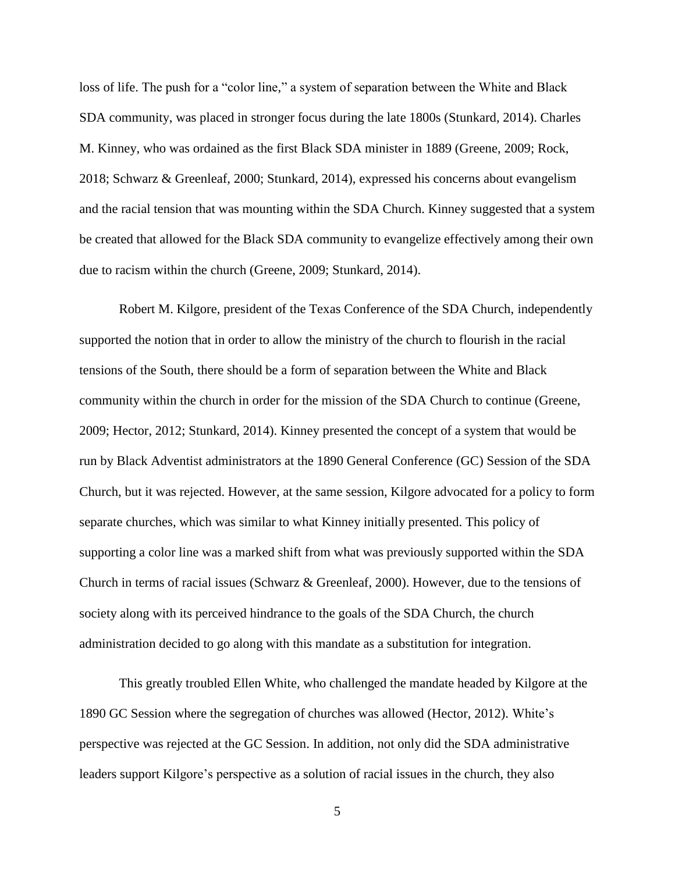loss of life. The push for a "color line," a system of separation between the White and Black SDA community, was placed in stronger focus during the late 1800s (Stunkard, 2014). Charles M. Kinney, who was ordained as the first Black SDA minister in 1889 (Greene, 2009; Rock, 2018; Schwarz & Greenleaf, 2000; Stunkard, 2014), expressed his concerns about evangelism and the racial tension that was mounting within the SDA Church. Kinney suggested that a system be created that allowed for the Black SDA community to evangelize effectively among their own due to racism within the church (Greene, 2009; Stunkard, 2014).

Robert M. Kilgore, president of the Texas Conference of the SDA Church, independently supported the notion that in order to allow the ministry of the church to flourish in the racial tensions of the South, there should be a form of separation between the White and Black community within the church in order for the mission of the SDA Church to continue (Greene, 2009; Hector, 2012; Stunkard, 2014). Kinney presented the concept of a system that would be run by Black Adventist administrators at the 1890 General Conference (GC) Session of the SDA Church, but it was rejected. However, at the same session, Kilgore advocated for a policy to form separate churches, which was similar to what Kinney initially presented. This policy of supporting a color line was a marked shift from what was previously supported within the SDA Church in terms of racial issues (Schwarz & Greenleaf, 2000). However, due to the tensions of society along with its perceived hindrance to the goals of the SDA Church, the church administration decided to go along with this mandate as a substitution for integration.

This greatly troubled Ellen White, who challenged the mandate headed by Kilgore at the 1890 GC Session where the segregation of churches was allowed (Hector, 2012). White's perspective was rejected at the GC Session. In addition, not only did the SDA administrative leaders support Kilgore's perspective as a solution of racial issues in the church, they also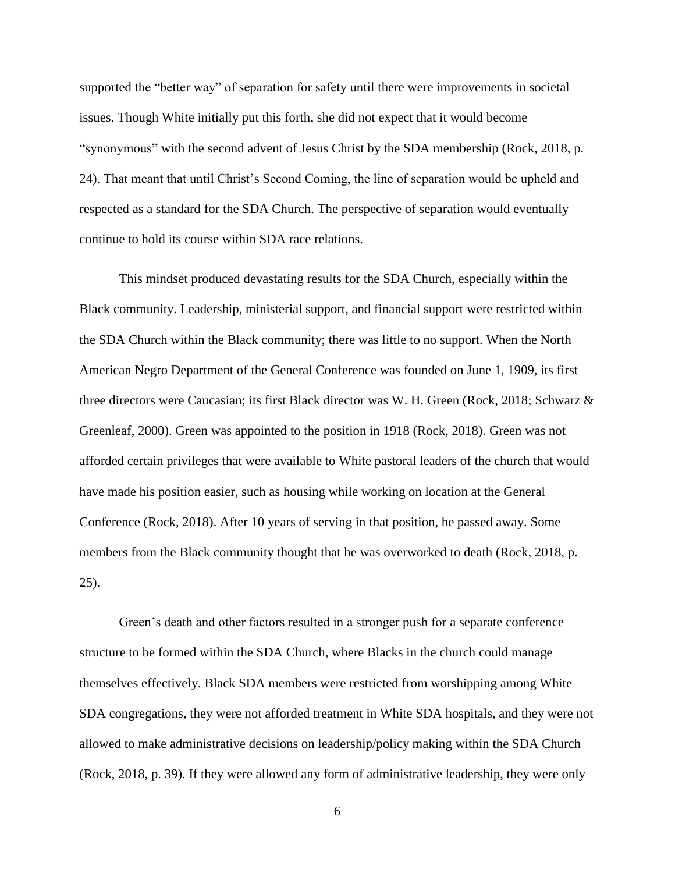supported the "better way" of separation for safety until there were improvements in societal issues. Though White initially put this forth, she did not expect that it would become "synonymous" with the second advent of Jesus Christ by the SDA membership (Rock, 2018, p. 24). That meant that until Christ's Second Coming, the line of separation would be upheld and respected as a standard for the SDA Church. The perspective of separation would eventually continue to hold its course within SDA race relations.

This mindset produced devastating results for the SDA Church, especially within the Black community. Leadership, ministerial support, and financial support were restricted within the SDA Church within the Black community; there was little to no support. When the North American Negro Department of the General Conference was founded on June 1, 1909, its first three directors were Caucasian; its first Black director was W. H. Green (Rock, 2018; Schwarz & Greenleaf, 2000). Green was appointed to the position in 1918 (Rock, 2018). Green was not afforded certain privileges that were available to White pastoral leaders of the church that would have made his position easier, such as housing while working on location at the General Conference (Rock, 2018). After 10 years of serving in that position, he passed away. Some members from the Black community thought that he was overworked to death (Rock, 2018, p. 25).

Green's death and other factors resulted in a stronger push for a separate conference structure to be formed within the SDA Church, where Blacks in the church could manage themselves effectively. Black SDA members were restricted from worshipping among White SDA congregations, they were not afforded treatment in White SDA hospitals, and they were not allowed to make administrative decisions on leadership/policy making within the SDA Church (Rock, 2018, p. 39). If they were allowed any form of administrative leadership, they were only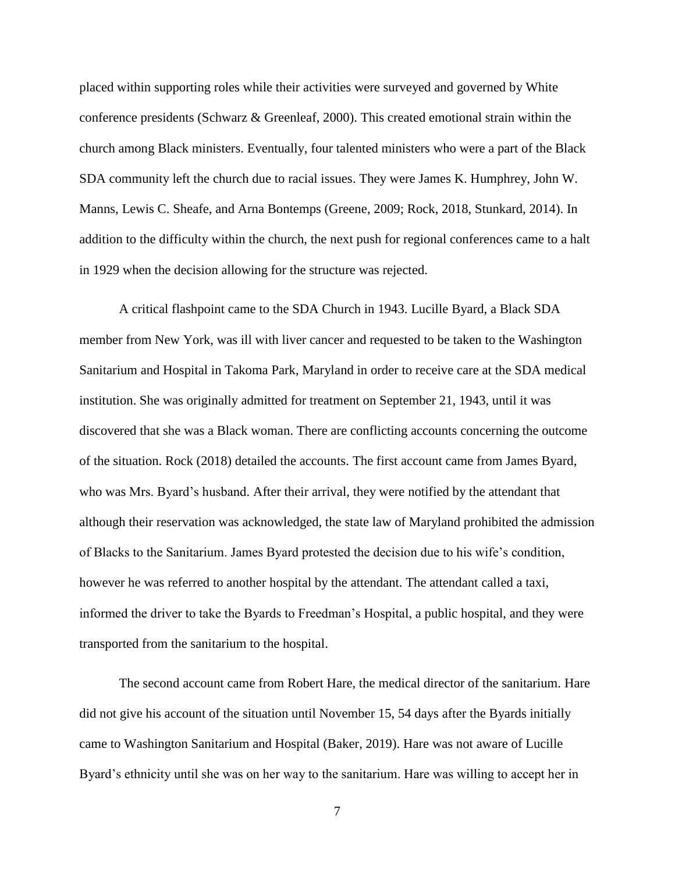placed within supporting roles while their activities were surveyed and governed by White conference presidents (Schwarz & Greenleaf, 2000). This created emotional strain within the church among Black ministers. Eventually, four talented ministers who were a part of the Black SDA community left the church due to racial issues. They were James K. Humphrey, John W. Manns, Lewis C. Sheafe, and Arna Bontemps (Greene, 2009; Rock, 2018, Stunkard, 2014). In addition to the difficulty within the church, the next push for regional conferences came to a halt in 1929 when the decision allowing for the structure was rejected.

A critical flashpoint came to the SDA Church in 1943. Lucille Byard, a Black SDA member from New York, was ill with liver cancer and requested to be taken to the Washington Sanitarium and Hospital in Takoma Park, Maryland in order to receive care at the SDA medical institution. She was originally admitted for treatment on September 21, 1943, until it was discovered that she was a Black woman. There are conflicting accounts concerning the outcome of the situation. Rock (2018) detailed the accounts. The first account came from James Byard, who was Mrs. Byard's husband. After their arrival, they were notified by the attendant that although their reservation was acknowledged, the state law of Maryland prohibited the admission of Blacks to the Sanitarium. James Byard protested the decision due to his wife's condition, however he was referred to another hospital by the attendant. The attendant called a taxi, informed the driver to take the Byards to Freedman's Hospital, a public hospital, and they were transported from the sanitarium to the hospital.

The second account came from Robert Hare, the medical director of the sanitarium. Hare did not give his account of the situation until November 15, 54 days after the Byards initially came to Washington Sanitarium and Hospital (Baker, 2019). Hare was not aware of Lucille Byard's ethnicity until she was on her way to the sanitarium. Hare was willing to accept her in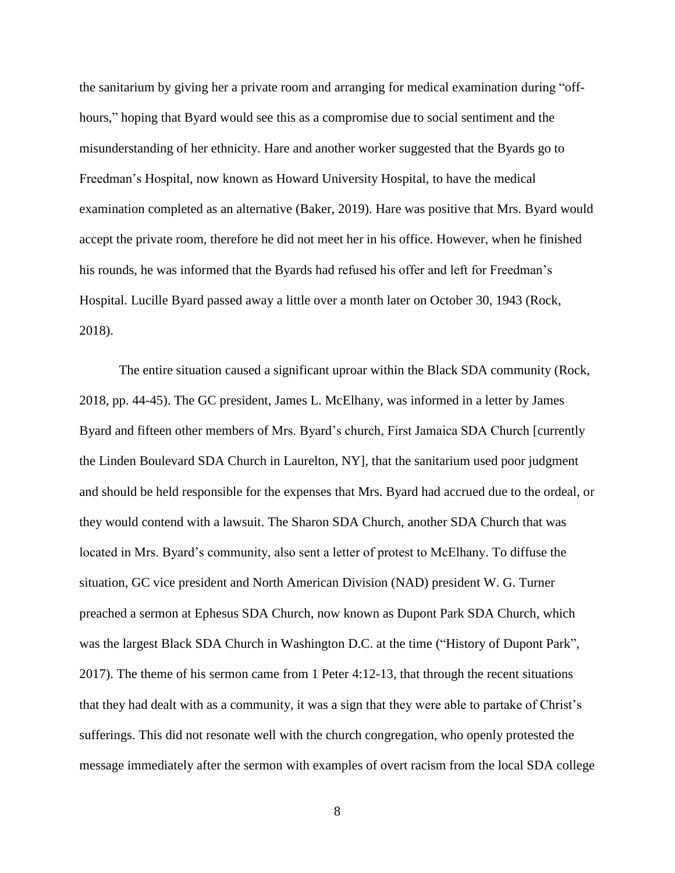the sanitarium by giving her a private room and arranging for medical examination during "offhours," hoping that Byard would see this as a compromise due to social sentiment and the misunderstanding of her ethnicity. Hare and another worker suggested that the Byards go to Freedman's Hospital, now known as Howard University Hospital, to have the medical examination completed as an alternative (Baker, 2019). Hare was positive that Mrs. Byard would accept the private room, therefore he did not meet her in his office. However, when he finished his rounds, he was informed that the Byards had refused his offer and left for Freedman's Hospital. Lucille Byard passed away a little over a month later on October 30, 1943 (Rock, 2018).

The entire situation caused a significant uproar within the Black SDA community (Rock, 2018, pp. 44-45). The GC president, James L. McElhany, was informed in a letter by James Byard and fifteen other members of Mrs. Byard's church, First Jamaica SDA Church [currently the Linden Boulevard SDA Church in Laurelton, NY], that the sanitarium used poor judgment and should be held responsible for the expenses that Mrs. Byard had accrued due to the ordeal, or they would contend with a lawsuit. The Sharon SDA Church, another SDA Church that was located in Mrs. Byard's community, also sent a letter of protest to McElhany. To diffuse the situation, GC vice president and North American Division (NAD) president W. G. Turner preached a sermon at Ephesus SDA Church, now known as Dupont Park SDA Church, which was the largest Black SDA Church in Washington D.C. at the time ("History of Dupont Park", 2017). The theme of his sermon came from 1 Peter 4:12-13, that through the recent situations that they had dealt with as a community, it was a sign that they were able to partake of Christ's sufferings. This did not resonate well with the church congregation, who openly protested the message immediately after the sermon with examples of overt racism from the local SDA college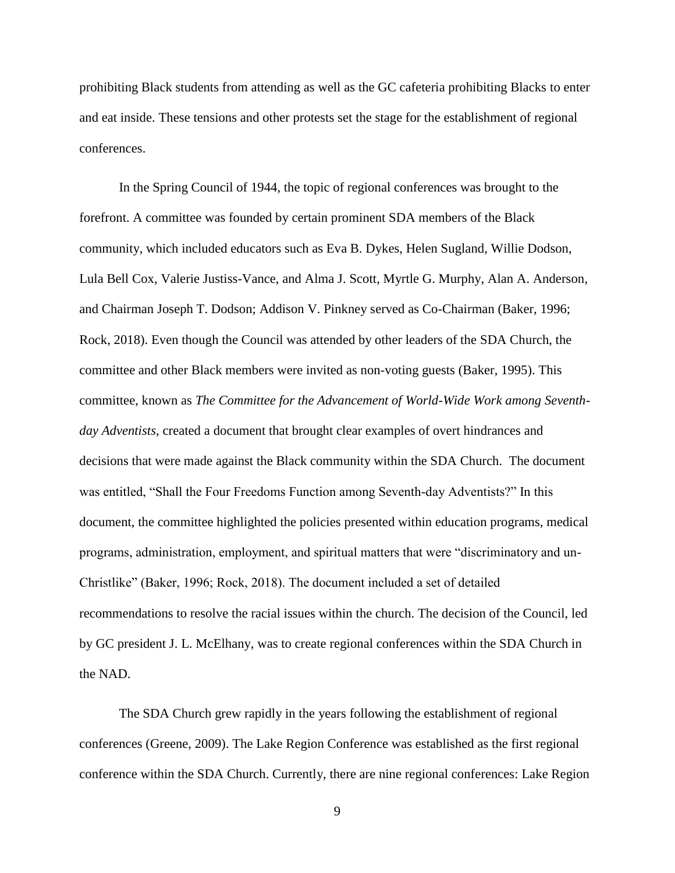prohibiting Black students from attending as well as the GC cafeteria prohibiting Blacks to enter and eat inside. These tensions and other protests set the stage for the establishment of regional conferences.

In the Spring Council of 1944, the topic of regional conferences was brought to the forefront. A committee was founded by certain prominent SDA members of the Black community, which included educators such as Eva B. Dykes, Helen Sugland, Willie Dodson, Lula Bell Cox, Valerie Justiss-Vance, and Alma J. Scott, Myrtle G. Murphy, Alan A. Anderson, and Chairman Joseph T. Dodson; Addison V. Pinkney served as Co-Chairman (Baker, 1996; Rock, 2018). Even though the Council was attended by other leaders of the SDA Church, the committee and other Black members were invited as non-voting guests (Baker, 1995). This committee, known as *The Committee for the Advancement of World-Wide Work among Seventhday Adventists*, created a document that brought clear examples of overt hindrances and decisions that were made against the Black community within the SDA Church. The document was entitled, "Shall the Four Freedoms Function among Seventh-day Adventists?" In this document, the committee highlighted the policies presented within education programs, medical programs, administration, employment, and spiritual matters that were "discriminatory and un-Christlike" (Baker, 1996; Rock, 2018). The document included a set of detailed recommendations to resolve the racial issues within the church. The decision of the Council, led by GC president J. L. McElhany, was to create regional conferences within the SDA Church in the NAD.

The SDA Church grew rapidly in the years following the establishment of regional conferences (Greene, 2009). The Lake Region Conference was established as the first regional conference within the SDA Church. Currently, there are nine regional conferences: Lake Region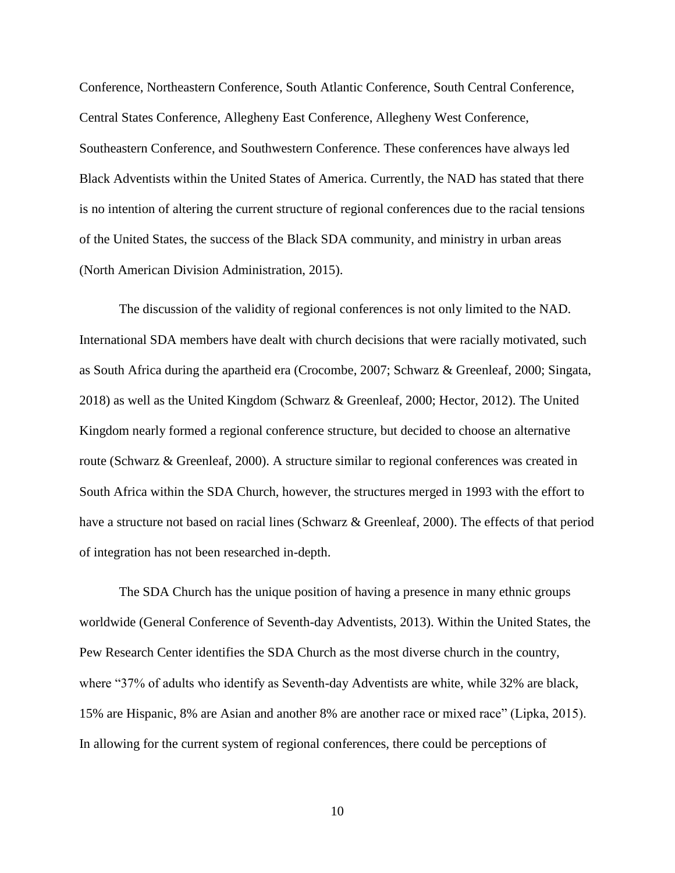Conference, Northeastern Conference, South Atlantic Conference, South Central Conference, Central States Conference, Allegheny East Conference, Allegheny West Conference, Southeastern Conference, and Southwestern Conference. These conferences have always led Black Adventists within the United States of America. Currently, the NAD has stated that there is no intention of altering the current structure of regional conferences due to the racial tensions of the United States, the success of the Black SDA community, and ministry in urban areas (North American Division Administration, 2015).

The discussion of the validity of regional conferences is not only limited to the NAD. International SDA members have dealt with church decisions that were racially motivated, such as South Africa during the apartheid era (Crocombe, 2007; Schwarz & Greenleaf, 2000; Singata, 2018) as well as the United Kingdom (Schwarz & Greenleaf, 2000; Hector, 2012). The United Kingdom nearly formed a regional conference structure, but decided to choose an alternative route (Schwarz & Greenleaf, 2000). A structure similar to regional conferences was created in South Africa within the SDA Church, however, the structures merged in 1993 with the effort to have a structure not based on racial lines (Schwarz & Greenleaf, 2000). The effects of that period of integration has not been researched in-depth.

The SDA Church has the unique position of having a presence in many ethnic groups worldwide (General Conference of Seventh-day Adventists, 2013). Within the United States, the Pew Research Center identifies the SDA Church as the most diverse church in the country, where "37% of adults who identify as Seventh-day Adventists are white, while 32% are black, 15% are Hispanic, 8% are Asian and another 8% are another race or mixed race" (Lipka, 2015). In allowing for the current system of regional conferences, there could be perceptions of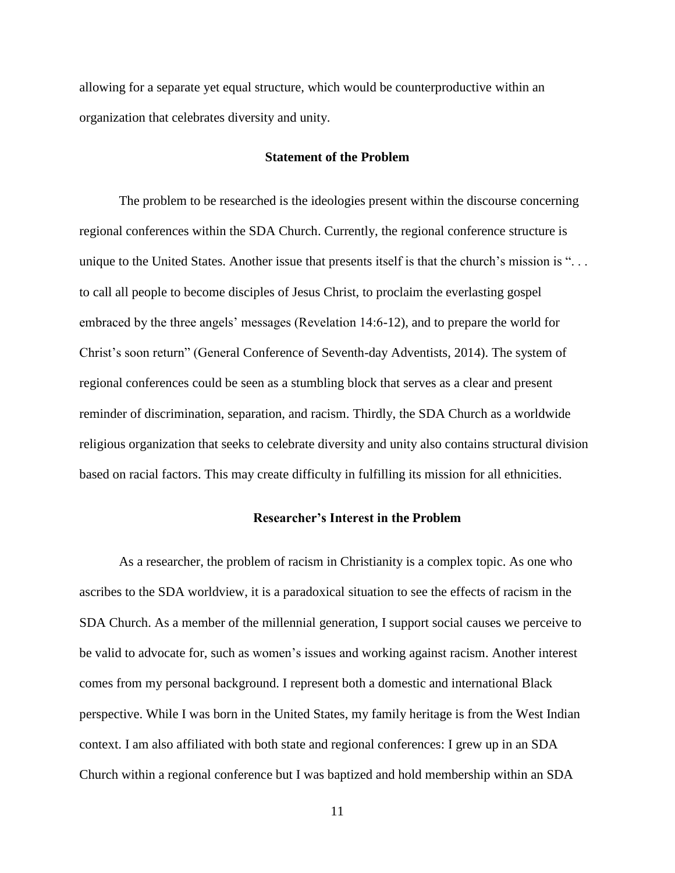allowing for a separate yet equal structure, which would be counterproductive within an organization that celebrates diversity and unity.

#### **Statement of the Problem**

The problem to be researched is the ideologies present within the discourse concerning regional conferences within the SDA Church. Currently, the regional conference structure is unique to the United States. Another issue that presents itself is that the church's mission is ". . . to call all people to become disciples of Jesus Christ, to proclaim the everlasting gospel embraced by the three angels' messages (Revelation 14:6-12), and to prepare the world for Christ's soon return" (General Conference of Seventh-day Adventists, 2014). The system of regional conferences could be seen as a stumbling block that serves as a clear and present reminder of discrimination, separation, and racism. Thirdly, the SDA Church as a worldwide religious organization that seeks to celebrate diversity and unity also contains structural division based on racial factors. This may create difficulty in fulfilling its mission for all ethnicities.

#### **Researcher's Interest in the Problem**

As a researcher, the problem of racism in Christianity is a complex topic. As one who ascribes to the SDA worldview, it is a paradoxical situation to see the effects of racism in the SDA Church. As a member of the millennial generation, I support social causes we perceive to be valid to advocate for, such as women's issues and working against racism. Another interest comes from my personal background. I represent both a domestic and international Black perspective. While I was born in the United States, my family heritage is from the West Indian context. I am also affiliated with both state and regional conferences: I grew up in an SDA Church within a regional conference but I was baptized and hold membership within an SDA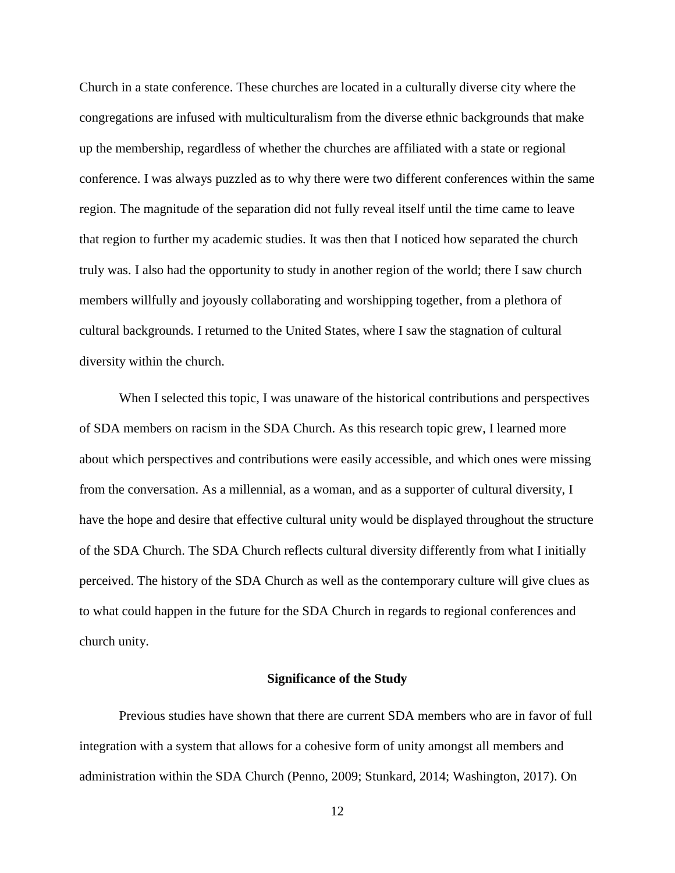Church in a state conference. These churches are located in a culturally diverse city where the congregations are infused with multiculturalism from the diverse ethnic backgrounds that make up the membership, regardless of whether the churches are affiliated with a state or regional conference. I was always puzzled as to why there were two different conferences within the same region. The magnitude of the separation did not fully reveal itself until the time came to leave that region to further my academic studies. It was then that I noticed how separated the church truly was. I also had the opportunity to study in another region of the world; there I saw church members willfully and joyously collaborating and worshipping together, from a plethora of cultural backgrounds. I returned to the United States, where I saw the stagnation of cultural diversity within the church.

When I selected this topic, I was unaware of the historical contributions and perspectives of SDA members on racism in the SDA Church. As this research topic grew, I learned more about which perspectives and contributions were easily accessible, and which ones were missing from the conversation. As a millennial, as a woman, and as a supporter of cultural diversity, I have the hope and desire that effective cultural unity would be displayed throughout the structure of the SDA Church. The SDA Church reflects cultural diversity differently from what I initially perceived. The history of the SDA Church as well as the contemporary culture will give clues as to what could happen in the future for the SDA Church in regards to regional conferences and church unity.

#### **Significance of the Study**

Previous studies have shown that there are current SDA members who are in favor of full integration with a system that allows for a cohesive form of unity amongst all members and administration within the SDA Church (Penno, 2009; Stunkard, 2014; Washington, 2017). On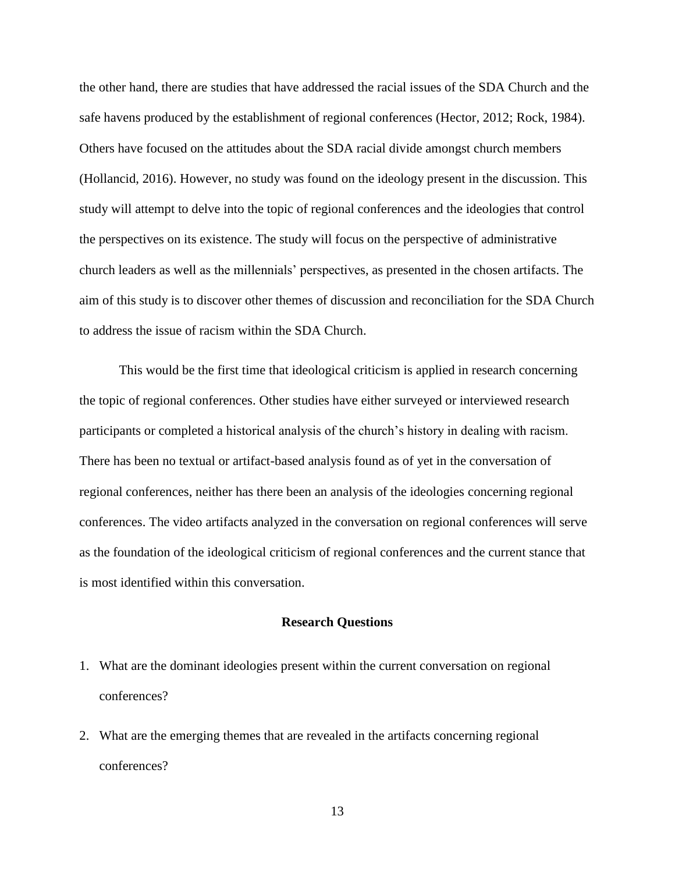the other hand, there are studies that have addressed the racial issues of the SDA Church and the safe havens produced by the establishment of regional conferences (Hector, 2012; Rock, 1984). Others have focused on the attitudes about the SDA racial divide amongst church members (Hollancid, 2016). However, no study was found on the ideology present in the discussion. This study will attempt to delve into the topic of regional conferences and the ideologies that control the perspectives on its existence. The study will focus on the perspective of administrative church leaders as well as the millennials' perspectives, as presented in the chosen artifacts. The aim of this study is to discover other themes of discussion and reconciliation for the SDA Church to address the issue of racism within the SDA Church.

This would be the first time that ideological criticism is applied in research concerning the topic of regional conferences. Other studies have either surveyed or interviewed research participants or completed a historical analysis of the church's history in dealing with racism. There has been no textual or artifact-based analysis found as of yet in the conversation of regional conferences, neither has there been an analysis of the ideologies concerning regional conferences. The video artifacts analyzed in the conversation on regional conferences will serve as the foundation of the ideological criticism of regional conferences and the current stance that is most identified within this conversation.

#### **Research Questions**

- 1. What are the dominant ideologies present within the current conversation on regional conferences?
- 2. What are the emerging themes that are revealed in the artifacts concerning regional conferences?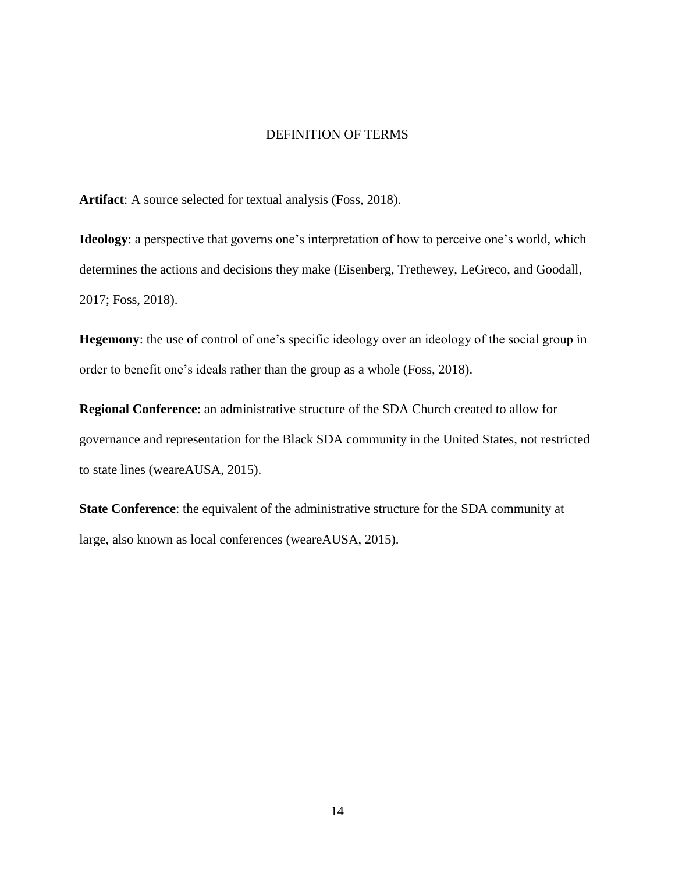#### DEFINITION OF TERMS

**Artifact**: A source selected for textual analysis (Foss, 2018).

**Ideology**: a perspective that governs one's interpretation of how to perceive one's world, which determines the actions and decisions they make (Eisenberg, Trethewey, LeGreco, and Goodall, 2017; Foss, 2018).

**Hegemony**: the use of control of one's specific ideology over an ideology of the social group in order to benefit one's ideals rather than the group as a whole (Foss, 2018).

**Regional Conference**: an administrative structure of the SDA Church created to allow for governance and representation for the Black SDA community in the United States, not restricted to state lines (weareAUSA, 2015).

**State Conference**: the equivalent of the administrative structure for the SDA community at large, also known as local conferences (weareAUSA, 2015).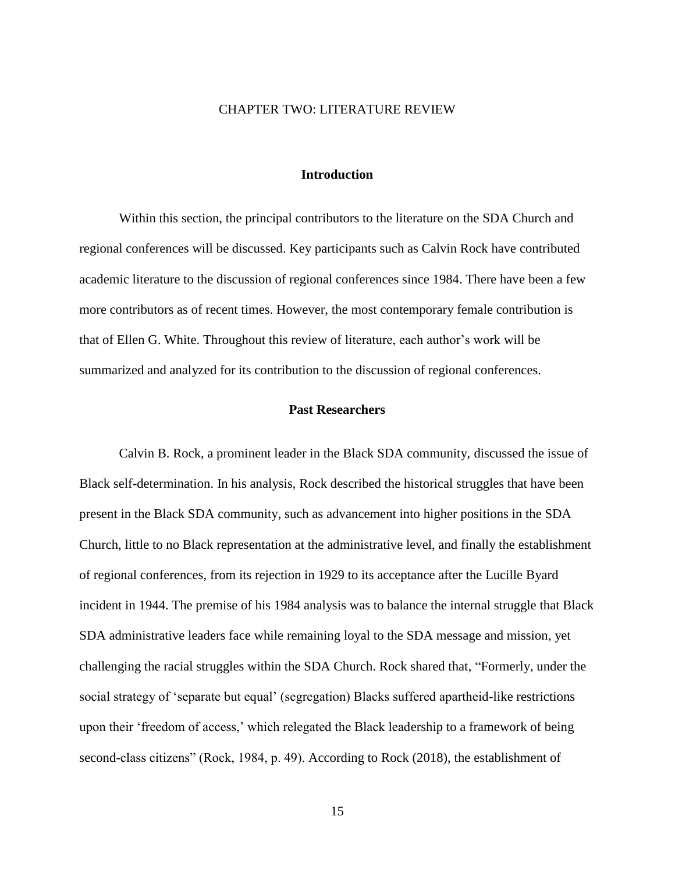#### CHAPTER TWO: LITERATURE REVIEW

#### **Introduction**

Within this section, the principal contributors to the literature on the SDA Church and regional conferences will be discussed. Key participants such as Calvin Rock have contributed academic literature to the discussion of regional conferences since 1984. There have been a few more contributors as of recent times. However, the most contemporary female contribution is that of Ellen G. White. Throughout this review of literature, each author's work will be summarized and analyzed for its contribution to the discussion of regional conferences.

#### **Past Researchers**

Calvin B. Rock, a prominent leader in the Black SDA community, discussed the issue of Black self-determination. In his analysis, Rock described the historical struggles that have been present in the Black SDA community, such as advancement into higher positions in the SDA Church, little to no Black representation at the administrative level, and finally the establishment of regional conferences, from its rejection in 1929 to its acceptance after the Lucille Byard incident in 1944. The premise of his 1984 analysis was to balance the internal struggle that Black SDA administrative leaders face while remaining loyal to the SDA message and mission, yet challenging the racial struggles within the SDA Church. Rock shared that, "Formerly, under the social strategy of 'separate but equal' (segregation) Blacks suffered apartheid-like restrictions upon their 'freedom of access,' which relegated the Black leadership to a framework of being second-class citizens" (Rock, 1984, p. 49). According to Rock (2018), the establishment of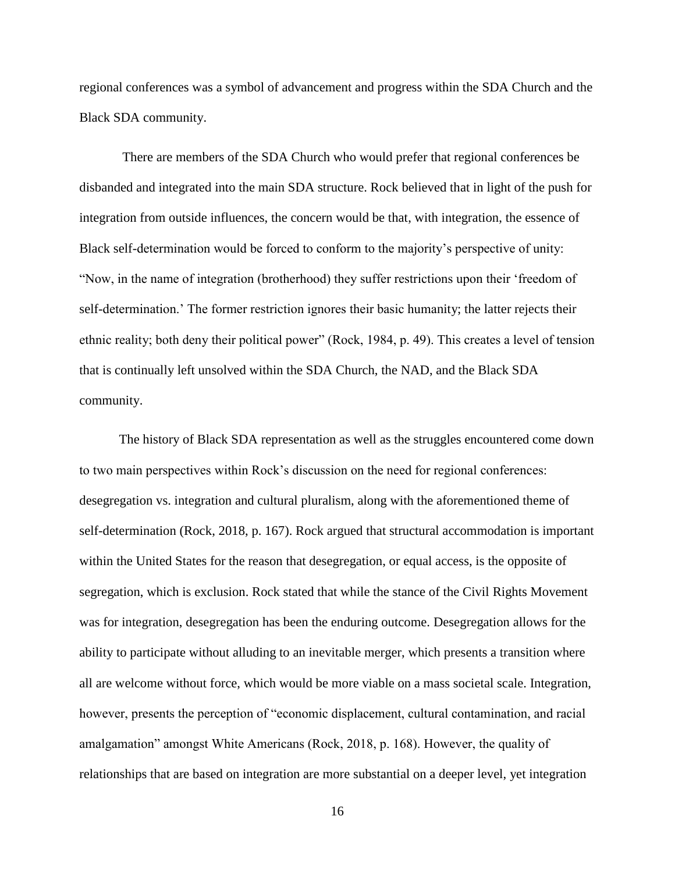regional conferences was a symbol of advancement and progress within the SDA Church and the Black SDA community.

There are members of the SDA Church who would prefer that regional conferences be disbanded and integrated into the main SDA structure. Rock believed that in light of the push for integration from outside influences, the concern would be that, with integration, the essence of Black self-determination would be forced to conform to the majority's perspective of unity: "Now, in the name of integration (brotherhood) they suffer restrictions upon their 'freedom of self-determination.' The former restriction ignores their basic humanity; the latter rejects their ethnic reality; both deny their political power" (Rock, 1984, p. 49). This creates a level of tension that is continually left unsolved within the SDA Church, the NAD, and the Black SDA community.

The history of Black SDA representation as well as the struggles encountered come down to two main perspectives within Rock's discussion on the need for regional conferences: desegregation vs. integration and cultural pluralism, along with the aforementioned theme of self-determination (Rock, 2018, p. 167). Rock argued that structural accommodation is important within the United States for the reason that desegregation, or equal access, is the opposite of segregation, which is exclusion. Rock stated that while the stance of the Civil Rights Movement was for integration, desegregation has been the enduring outcome. Desegregation allows for the ability to participate without alluding to an inevitable merger, which presents a transition where all are welcome without force, which would be more viable on a mass societal scale. Integration, however, presents the perception of "economic displacement, cultural contamination, and racial amalgamation" amongst White Americans (Rock, 2018, p. 168). However, the quality of relationships that are based on integration are more substantial on a deeper level, yet integration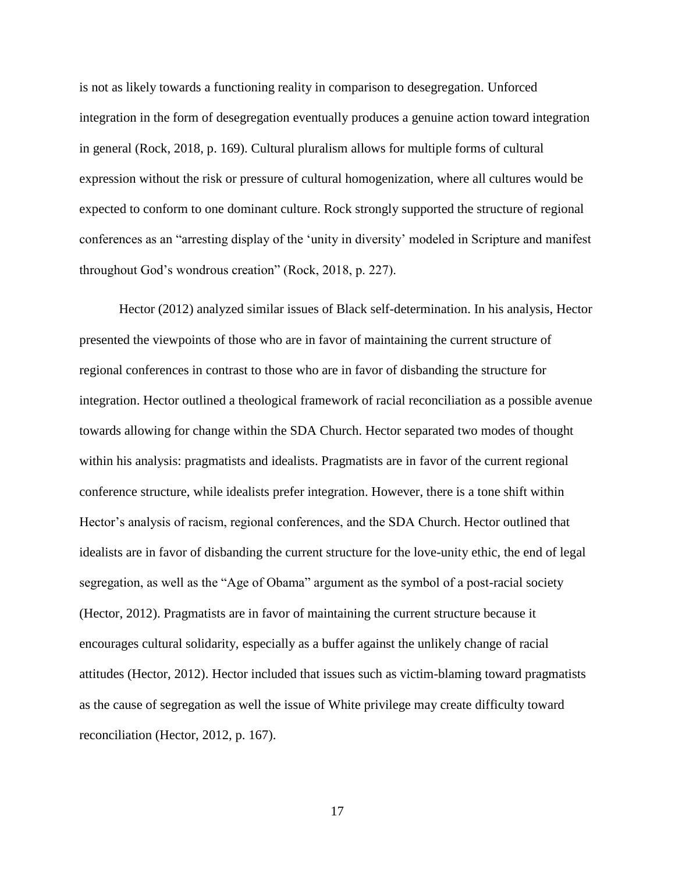is not as likely towards a functioning reality in comparison to desegregation. Unforced integration in the form of desegregation eventually produces a genuine action toward integration in general (Rock, 2018, p. 169). Cultural pluralism allows for multiple forms of cultural expression without the risk or pressure of cultural homogenization, where all cultures would be expected to conform to one dominant culture. Rock strongly supported the structure of regional conferences as an "arresting display of the 'unity in diversity' modeled in Scripture and manifest throughout God's wondrous creation" (Rock, 2018, p. 227).

Hector (2012) analyzed similar issues of Black self-determination. In his analysis, Hector presented the viewpoints of those who are in favor of maintaining the current structure of regional conferences in contrast to those who are in favor of disbanding the structure for integration. Hector outlined a theological framework of racial reconciliation as a possible avenue towards allowing for change within the SDA Church. Hector separated two modes of thought within his analysis: pragmatists and idealists. Pragmatists are in favor of the current regional conference structure, while idealists prefer integration. However, there is a tone shift within Hector's analysis of racism, regional conferences, and the SDA Church. Hector outlined that idealists are in favor of disbanding the current structure for the love-unity ethic, the end of legal segregation, as well as the "Age of Obama" argument as the symbol of a post-racial society (Hector, 2012). Pragmatists are in favor of maintaining the current structure because it encourages cultural solidarity, especially as a buffer against the unlikely change of racial attitudes (Hector, 2012). Hector included that issues such as victim-blaming toward pragmatists as the cause of segregation as well the issue of White privilege may create difficulty toward reconciliation (Hector, 2012, p. 167).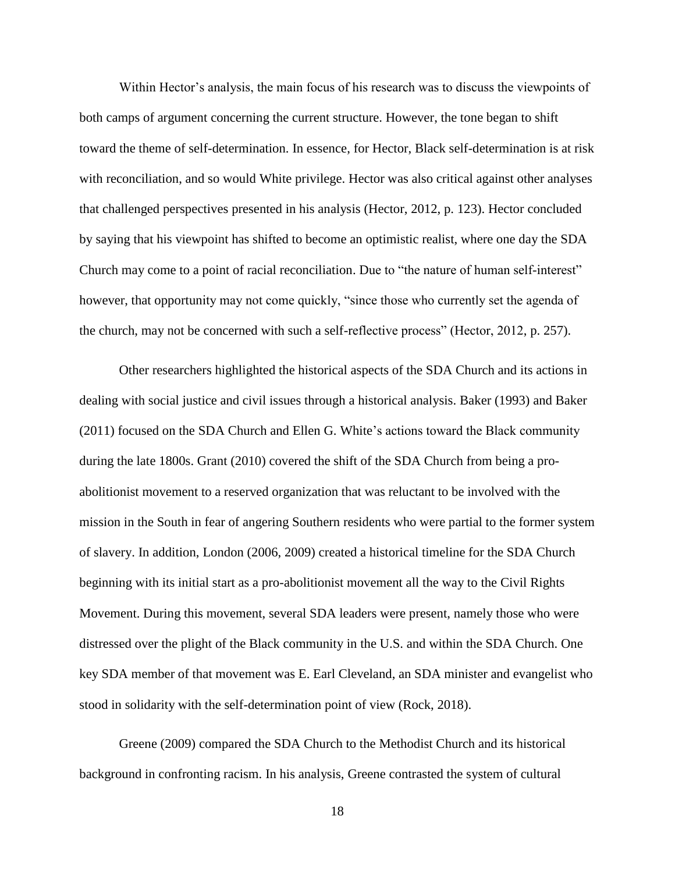Within Hector's analysis, the main focus of his research was to discuss the viewpoints of both camps of argument concerning the current structure. However, the tone began to shift toward the theme of self-determination. In essence, for Hector, Black self-determination is at risk with reconciliation, and so would White privilege. Hector was also critical against other analyses that challenged perspectives presented in his analysis (Hector, 2012, p. 123). Hector concluded by saying that his viewpoint has shifted to become an optimistic realist, where one day the SDA Church may come to a point of racial reconciliation. Due to "the nature of human self-interest" however, that opportunity may not come quickly, "since those who currently set the agenda of the church, may not be concerned with such a self-reflective process" (Hector, 2012, p. 257).

Other researchers highlighted the historical aspects of the SDA Church and its actions in dealing with social justice and civil issues through a historical analysis. Baker (1993) and Baker (2011) focused on the SDA Church and Ellen G. White's actions toward the Black community during the late 1800s. Grant (2010) covered the shift of the SDA Church from being a proabolitionist movement to a reserved organization that was reluctant to be involved with the mission in the South in fear of angering Southern residents who were partial to the former system of slavery. In addition, London (2006, 2009) created a historical timeline for the SDA Church beginning with its initial start as a pro-abolitionist movement all the way to the Civil Rights Movement. During this movement, several SDA leaders were present, namely those who were distressed over the plight of the Black community in the U.S. and within the SDA Church. One key SDA member of that movement was E. Earl Cleveland, an SDA minister and evangelist who stood in solidarity with the self-determination point of view (Rock, 2018).

Greene (2009) compared the SDA Church to the Methodist Church and its historical background in confronting racism. In his analysis, Greene contrasted the system of cultural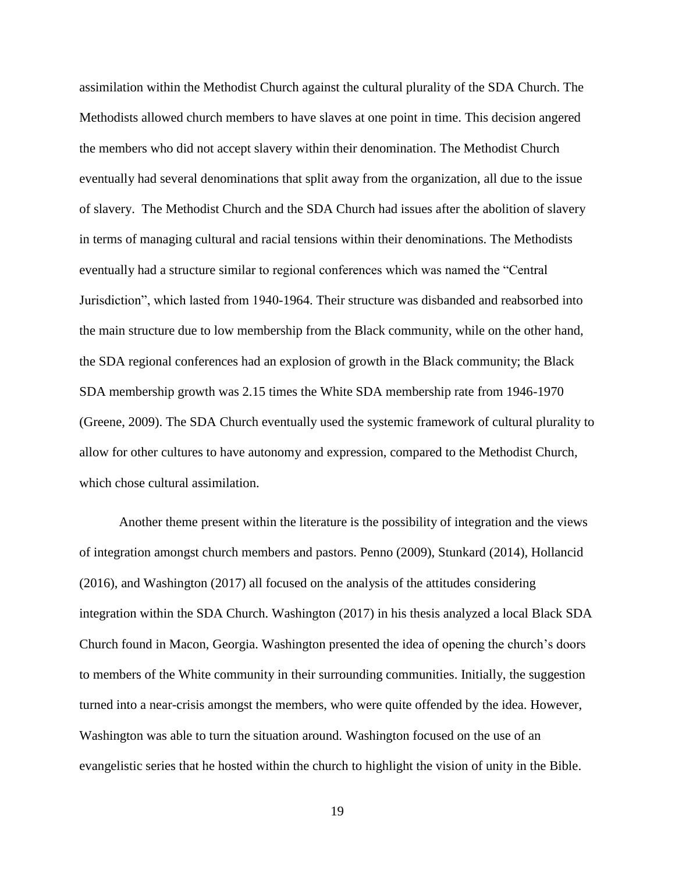assimilation within the Methodist Church against the cultural plurality of the SDA Church. The Methodists allowed church members to have slaves at one point in time. This decision angered the members who did not accept slavery within their denomination. The Methodist Church eventually had several denominations that split away from the organization, all due to the issue of slavery. The Methodist Church and the SDA Church had issues after the abolition of slavery in terms of managing cultural and racial tensions within their denominations. The Methodists eventually had a structure similar to regional conferences which was named the "Central Jurisdiction", which lasted from 1940-1964. Their structure was disbanded and reabsorbed into the main structure due to low membership from the Black community, while on the other hand, the SDA regional conferences had an explosion of growth in the Black community; the Black SDA membership growth was 2.15 times the White SDA membership rate from 1946-1970 (Greene, 2009). The SDA Church eventually used the systemic framework of cultural plurality to allow for other cultures to have autonomy and expression, compared to the Methodist Church, which chose cultural assimilation.

Another theme present within the literature is the possibility of integration and the views of integration amongst church members and pastors. Penno (2009), Stunkard (2014), Hollancid (2016), and Washington (2017) all focused on the analysis of the attitudes considering integration within the SDA Church. Washington (2017) in his thesis analyzed a local Black SDA Church found in Macon, Georgia. Washington presented the idea of opening the church's doors to members of the White community in their surrounding communities. Initially, the suggestion turned into a near-crisis amongst the members, who were quite offended by the idea. However, Washington was able to turn the situation around. Washington focused on the use of an evangelistic series that he hosted within the church to highlight the vision of unity in the Bible.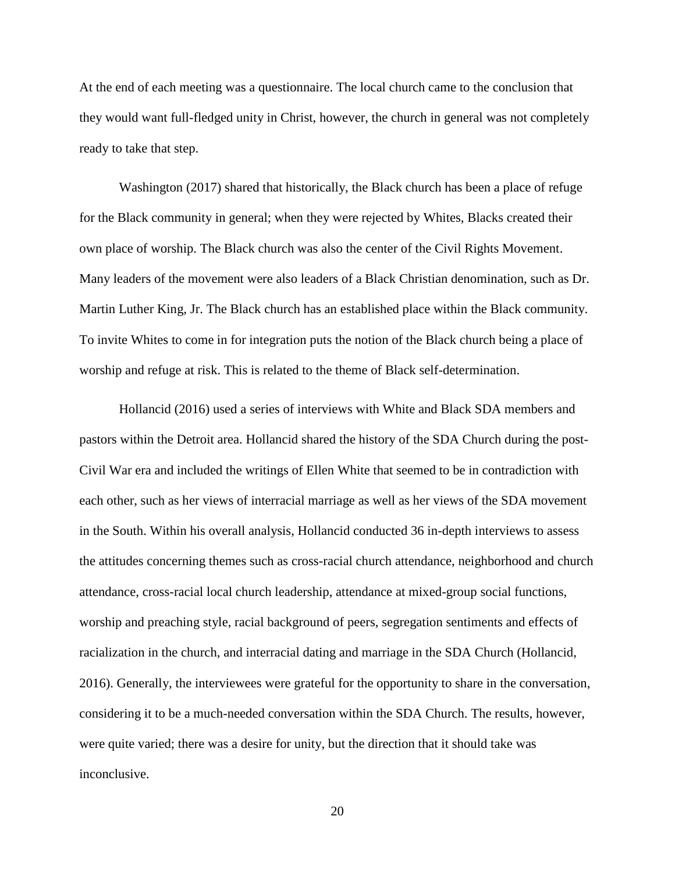At the end of each meeting was a questionnaire. The local church came to the conclusion that they would want full-fledged unity in Christ, however, the church in general was not completely ready to take that step.

Washington (2017) shared that historically, the Black church has been a place of refuge for the Black community in general; when they were rejected by Whites, Blacks created their own place of worship. The Black church was also the center of the Civil Rights Movement. Many leaders of the movement were also leaders of a Black Christian denomination, such as Dr. Martin Luther King, Jr. The Black church has an established place within the Black community. To invite Whites to come in for integration puts the notion of the Black church being a place of worship and refuge at risk. This is related to the theme of Black self-determination.

Hollancid (2016) used a series of interviews with White and Black SDA members and pastors within the Detroit area. Hollancid shared the history of the SDA Church during the post-Civil War era and included the writings of Ellen White that seemed to be in contradiction with each other, such as her views of interracial marriage as well as her views of the SDA movement in the South. Within his overall analysis, Hollancid conducted 36 in-depth interviews to assess the attitudes concerning themes such as cross-racial church attendance, neighborhood and church attendance, cross-racial local church leadership, attendance at mixed-group social functions, worship and preaching style, racial background of peers, segregation sentiments and effects of racialization in the church, and interracial dating and marriage in the SDA Church (Hollancid, 2016). Generally, the interviewees were grateful for the opportunity to share in the conversation, considering it to be a much-needed conversation within the SDA Church. The results, however, were quite varied; there was a desire for unity, but the direction that it should take was inconclusive.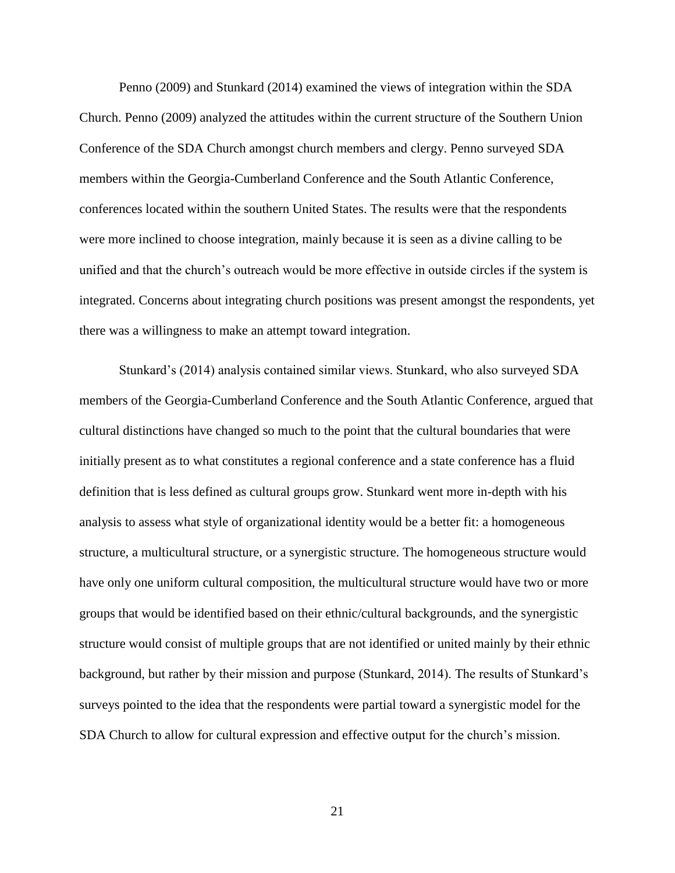Penno (2009) and Stunkard (2014) examined the views of integration within the SDA Church. Penno (2009) analyzed the attitudes within the current structure of the Southern Union Conference of the SDA Church amongst church members and clergy. Penno surveyed SDA members within the Georgia-Cumberland Conference and the South Atlantic Conference, conferences located within the southern United States. The results were that the respondents were more inclined to choose integration, mainly because it is seen as a divine calling to be unified and that the church's outreach would be more effective in outside circles if the system is integrated. Concerns about integrating church positions was present amongst the respondents, yet there was a willingness to make an attempt toward integration.

Stunkard's (2014) analysis contained similar views. Stunkard, who also surveyed SDA members of the Georgia-Cumberland Conference and the South Atlantic Conference, argued that cultural distinctions have changed so much to the point that the cultural boundaries that were initially present as to what constitutes a regional conference and a state conference has a fluid definition that is less defined as cultural groups grow. Stunkard went more in-depth with his analysis to assess what style of organizational identity would be a better fit: a homogeneous structure, a multicultural structure, or a synergistic structure. The homogeneous structure would have only one uniform cultural composition, the multicultural structure would have two or more groups that would be identified based on their ethnic/cultural backgrounds, and the synergistic structure would consist of multiple groups that are not identified or united mainly by their ethnic background, but rather by their mission and purpose (Stunkard, 2014). The results of Stunkard's surveys pointed to the idea that the respondents were partial toward a synergistic model for the SDA Church to allow for cultural expression and effective output for the church's mission.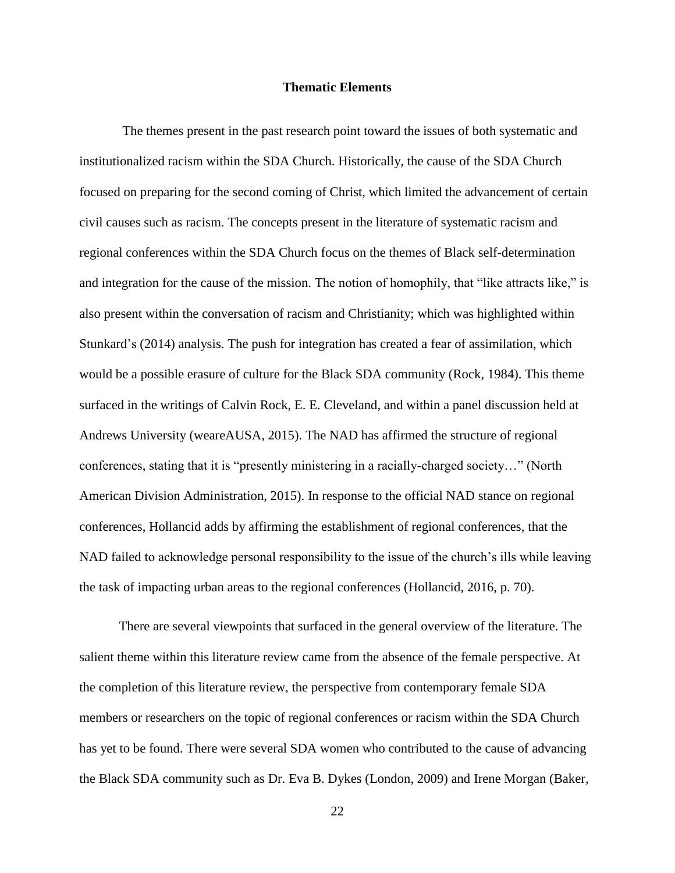#### **Thematic Elements**

The themes present in the past research point toward the issues of both systematic and institutionalized racism within the SDA Church. Historically, the cause of the SDA Church focused on preparing for the second coming of Christ, which limited the advancement of certain civil causes such as racism. The concepts present in the literature of systematic racism and regional conferences within the SDA Church focus on the themes of Black self-determination and integration for the cause of the mission. The notion of homophily, that "like attracts like," is also present within the conversation of racism and Christianity; which was highlighted within Stunkard's (2014) analysis. The push for integration has created a fear of assimilation, which would be a possible erasure of culture for the Black SDA community (Rock, 1984). This theme surfaced in the writings of Calvin Rock, E. E. Cleveland, and within a panel discussion held at Andrews University (weareAUSA, 2015). The NAD has affirmed the structure of regional conferences, stating that it is "presently ministering in a racially-charged society…" (North American Division Administration, 2015). In response to the official NAD stance on regional conferences, Hollancid adds by affirming the establishment of regional conferences, that the NAD failed to acknowledge personal responsibility to the issue of the church's ills while leaving the task of impacting urban areas to the regional conferences (Hollancid, 2016, p. 70).

There are several viewpoints that surfaced in the general overview of the literature. The salient theme within this literature review came from the absence of the female perspective. At the completion of this literature review, the perspective from contemporary female SDA members or researchers on the topic of regional conferences or racism within the SDA Church has yet to be found. There were several SDA women who contributed to the cause of advancing the Black SDA community such as Dr. Eva B. Dykes (London, 2009) and Irene Morgan (Baker,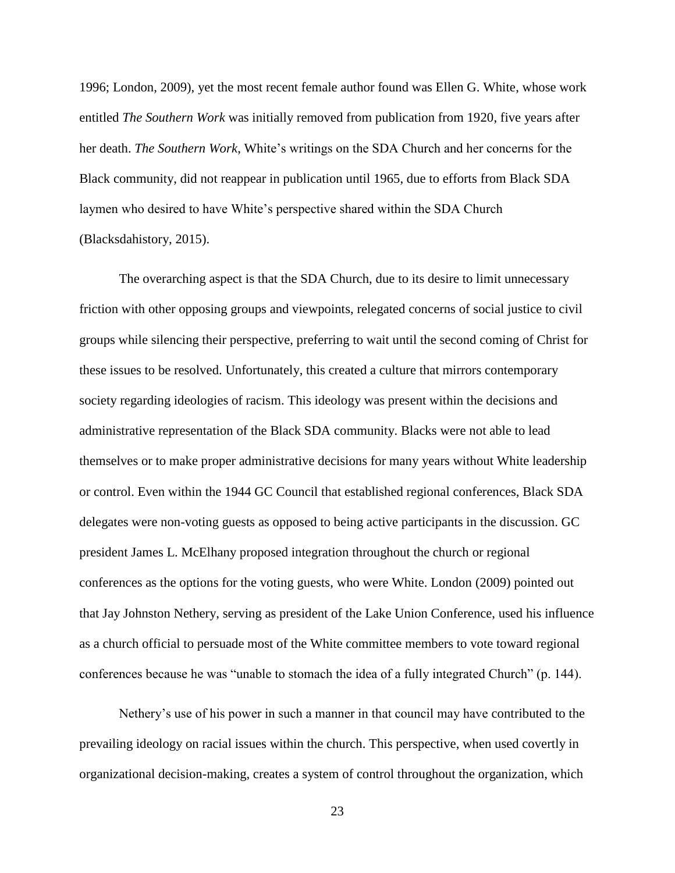1996; London, 2009), yet the most recent female author found was Ellen G. White, whose work entitled *The Southern Work* was initially removed from publication from 1920, five years after her death. *The Southern Work*, White's writings on the SDA Church and her concerns for the Black community, did not reappear in publication until 1965, due to efforts from Black SDA laymen who desired to have White's perspective shared within the SDA Church (Blacksdahistory, 2015).

The overarching aspect is that the SDA Church, due to its desire to limit unnecessary friction with other opposing groups and viewpoints, relegated concerns of social justice to civil groups while silencing their perspective, preferring to wait until the second coming of Christ for these issues to be resolved. Unfortunately, this created a culture that mirrors contemporary society regarding ideologies of racism. This ideology was present within the decisions and administrative representation of the Black SDA community. Blacks were not able to lead themselves or to make proper administrative decisions for many years without White leadership or control. Even within the 1944 GC Council that established regional conferences, Black SDA delegates were non-voting guests as opposed to being active participants in the discussion. GC president James L. McElhany proposed integration throughout the church or regional conferences as the options for the voting guests, who were White. London (2009) pointed out that Jay Johnston Nethery, serving as president of the Lake Union Conference, used his influence as a church official to persuade most of the White committee members to vote toward regional conferences because he was "unable to stomach the idea of a fully integrated Church" (p. 144).

Nethery's use of his power in such a manner in that council may have contributed to the prevailing ideology on racial issues within the church. This perspective, when used covertly in organizational decision-making, creates a system of control throughout the organization, which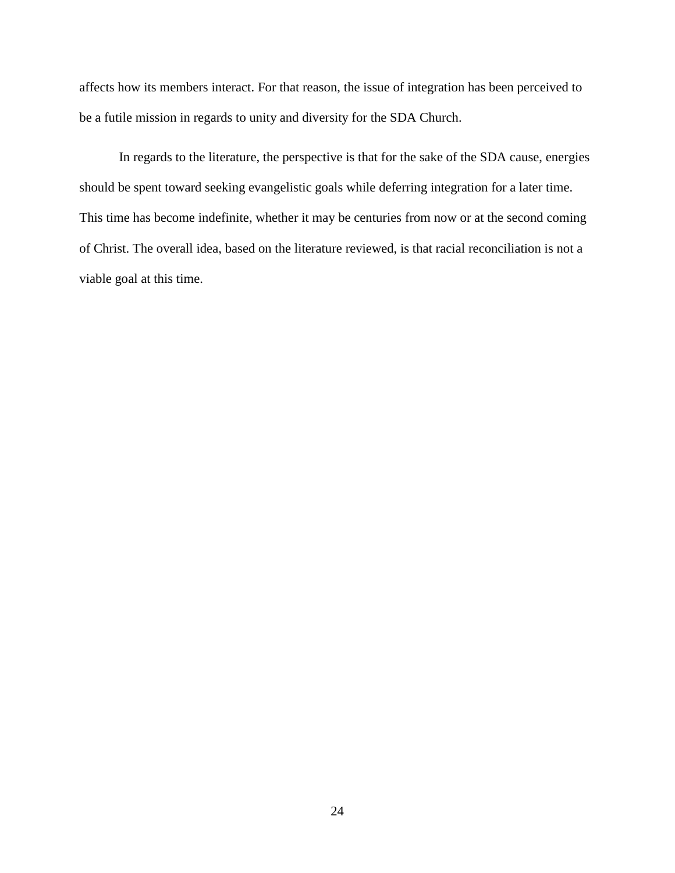affects how its members interact. For that reason, the issue of integration has been perceived to be a futile mission in regards to unity and diversity for the SDA Church.

In regards to the literature, the perspective is that for the sake of the SDA cause, energies should be spent toward seeking evangelistic goals while deferring integration for a later time. This time has become indefinite, whether it may be centuries from now or at the second coming of Christ. The overall idea, based on the literature reviewed, is that racial reconciliation is not a viable goal at this time.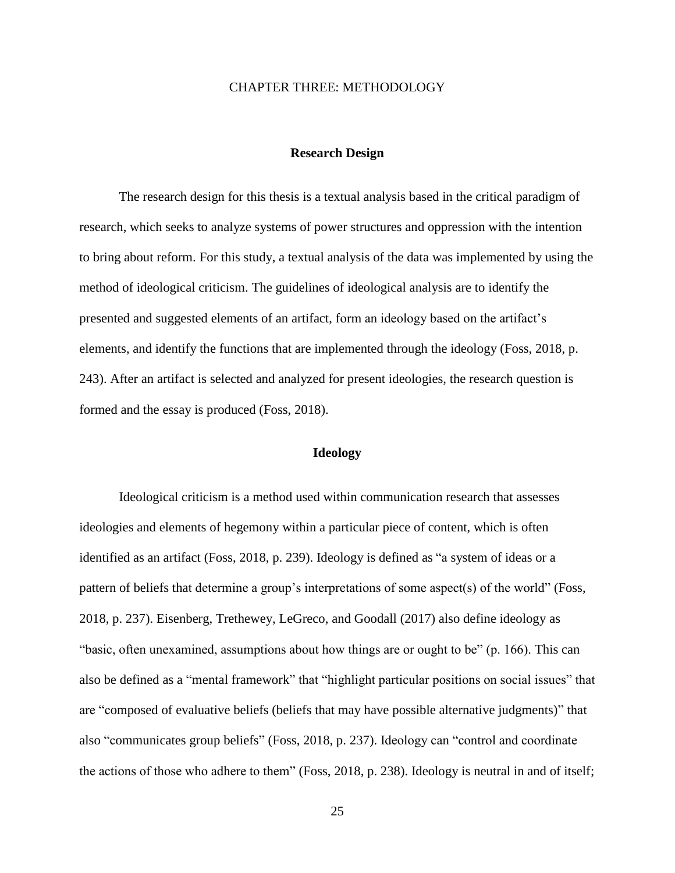#### CHAPTER THREE: METHODOLOGY

#### **Research Design**

The research design for this thesis is a textual analysis based in the critical paradigm of research, which seeks to analyze systems of power structures and oppression with the intention to bring about reform. For this study, a textual analysis of the data was implemented by using the method of ideological criticism. The guidelines of ideological analysis are to identify the presented and suggested elements of an artifact, form an ideology based on the artifact's elements, and identify the functions that are implemented through the ideology (Foss, 2018, p. 243). After an artifact is selected and analyzed for present ideologies, the research question is formed and the essay is produced (Foss, 2018).

#### **Ideology**

Ideological criticism is a method used within communication research that assesses ideologies and elements of hegemony within a particular piece of content, which is often identified as an artifact (Foss, 2018, p. 239). Ideology is defined as "a system of ideas or a pattern of beliefs that determine a group's interpretations of some aspect(s) of the world" (Foss, 2018, p. 237). Eisenberg, Trethewey, LeGreco, and Goodall (2017) also define ideology as "basic, often unexamined, assumptions about how things are or ought to be" (p. 166). This can also be defined as a "mental framework" that "highlight particular positions on social issues" that are "composed of evaluative beliefs (beliefs that may have possible alternative judgments)" that also "communicates group beliefs" (Foss, 2018, p. 237). Ideology can "control and coordinate the actions of those who adhere to them" (Foss, 2018, p. 238). Ideology is neutral in and of itself;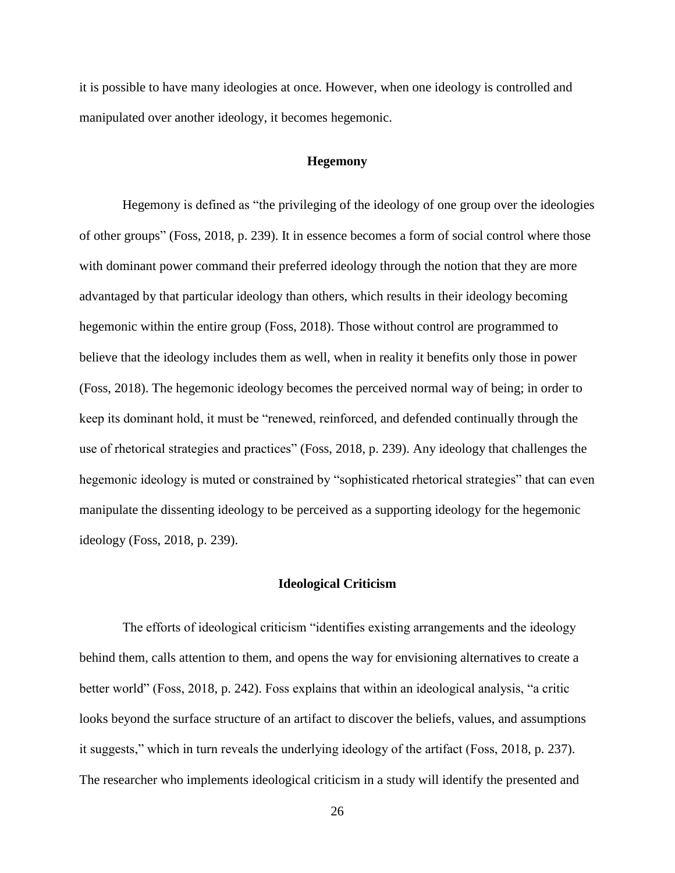it is possible to have many ideologies at once. However, when one ideology is controlled and manipulated over another ideology, it becomes hegemonic.

#### **Hegemony**

Hegemony is defined as "the privileging of the ideology of one group over the ideologies of other groups" (Foss, 2018, p. 239). It in essence becomes a form of social control where those with dominant power command their preferred ideology through the notion that they are more advantaged by that particular ideology than others, which results in their ideology becoming hegemonic within the entire group (Foss, 2018). Those without control are programmed to believe that the ideology includes them as well, when in reality it benefits only those in power (Foss, 2018). The hegemonic ideology becomes the perceived normal way of being; in order to keep its dominant hold, it must be "renewed, reinforced, and defended continually through the use of rhetorical strategies and practices" (Foss, 2018, p. 239). Any ideology that challenges the hegemonic ideology is muted or constrained by "sophisticated rhetorical strategies" that can even manipulate the dissenting ideology to be perceived as a supporting ideology for the hegemonic ideology (Foss, 2018, p. 239).

#### **Ideological Criticism**

The efforts of ideological criticism "identifies existing arrangements and the ideology behind them, calls attention to them, and opens the way for envisioning alternatives to create a better world" (Foss, 2018, p. 242). Foss explains that within an ideological analysis, "a critic looks beyond the surface structure of an artifact to discover the beliefs, values, and assumptions it suggests," which in turn reveals the underlying ideology of the artifact (Foss, 2018, p. 237). The researcher who implements ideological criticism in a study will identify the presented and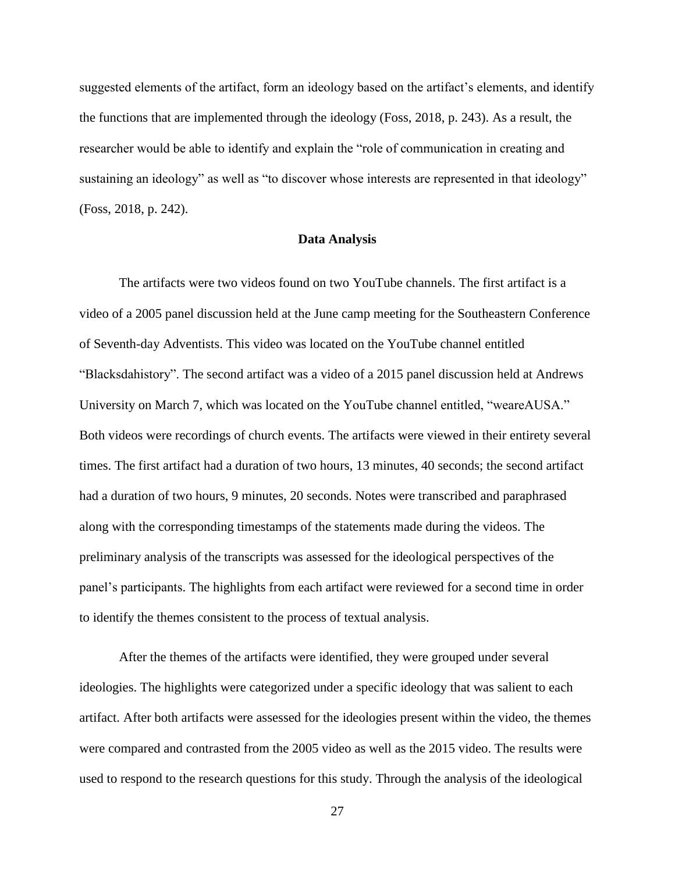suggested elements of the artifact, form an ideology based on the artifact's elements, and identify the functions that are implemented through the ideology (Foss, 2018, p. 243). As a result, the researcher would be able to identify and explain the "role of communication in creating and sustaining an ideology" as well as "to discover whose interests are represented in that ideology" (Foss, 2018, p. 242).

#### **Data Analysis**

The artifacts were two videos found on two YouTube channels. The first artifact is a video of a 2005 panel discussion held at the June camp meeting for the Southeastern Conference of Seventh-day Adventists. This video was located on the YouTube channel entitled "Blacksdahistory". The second artifact was a video of a 2015 panel discussion held at Andrews University on March 7, which was located on the YouTube channel entitled, "weareAUSA." Both videos were recordings of church events. The artifacts were viewed in their entirety several times. The first artifact had a duration of two hours, 13 minutes, 40 seconds; the second artifact had a duration of two hours, 9 minutes, 20 seconds. Notes were transcribed and paraphrased along with the corresponding timestamps of the statements made during the videos. The preliminary analysis of the transcripts was assessed for the ideological perspectives of the panel's participants. The highlights from each artifact were reviewed for a second time in order to identify the themes consistent to the process of textual analysis.

After the themes of the artifacts were identified, they were grouped under several ideologies. The highlights were categorized under a specific ideology that was salient to each artifact. After both artifacts were assessed for the ideologies present within the video, the themes were compared and contrasted from the 2005 video as well as the 2015 video. The results were used to respond to the research questions for this study. Through the analysis of the ideological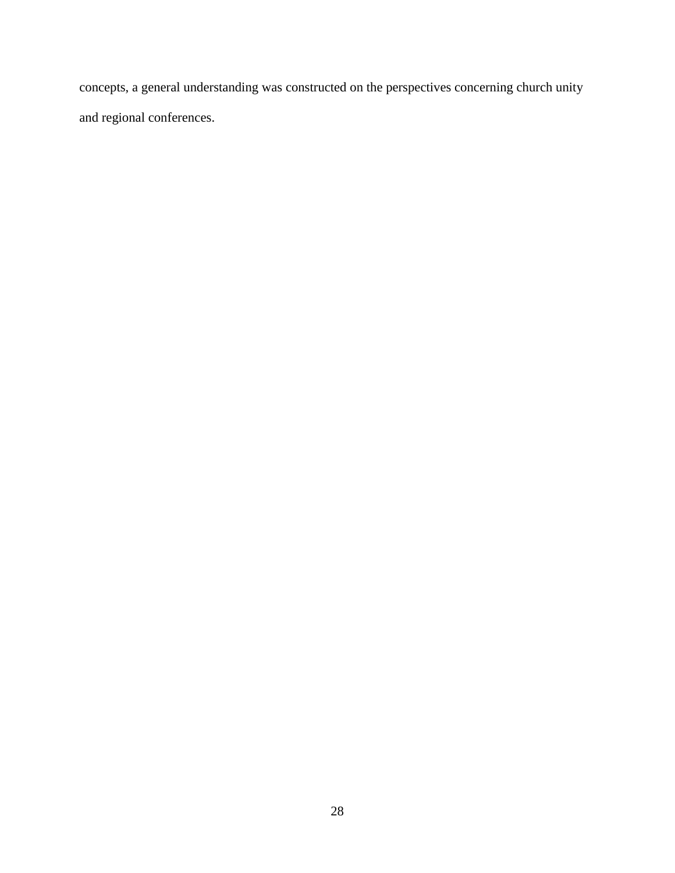concepts, a general understanding was constructed on the perspectives concerning church unity and regional conferences.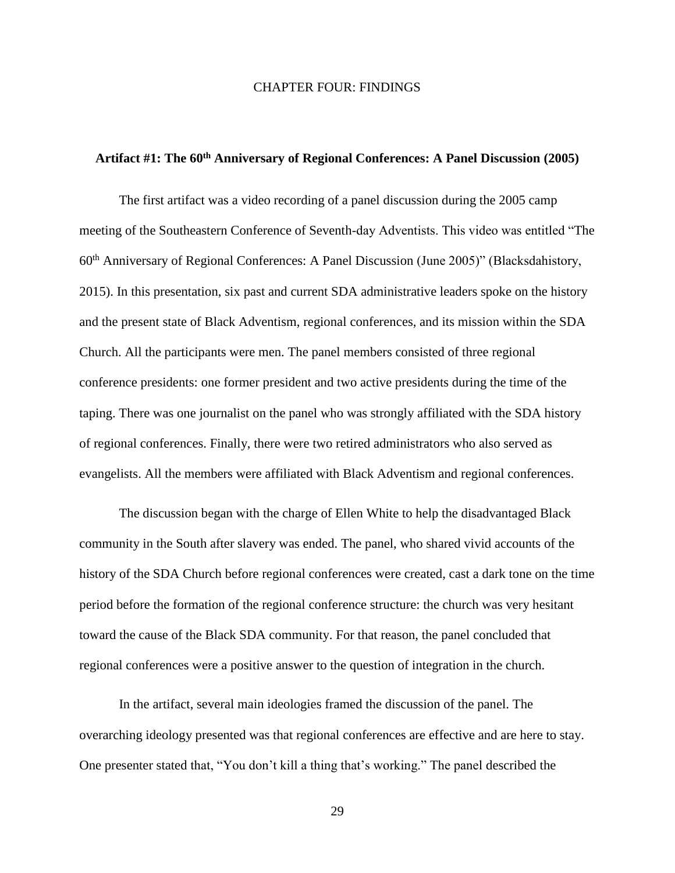#### CHAPTER FOUR: FINDINGS

### **Artifact #1: The 60th Anniversary of Regional Conferences: A Panel Discussion (2005)**

The first artifact was a video recording of a panel discussion during the 2005 camp meeting of the Southeastern Conference of Seventh-day Adventists. This video was entitled "The 60th Anniversary of Regional Conferences: A Panel Discussion (June 2005)" (Blacksdahistory, 2015). In this presentation, six past and current SDA administrative leaders spoke on the history and the present state of Black Adventism, regional conferences, and its mission within the SDA Church. All the participants were men. The panel members consisted of three regional conference presidents: one former president and two active presidents during the time of the taping. There was one journalist on the panel who was strongly affiliated with the SDA history of regional conferences. Finally, there were two retired administrators who also served as evangelists. All the members were affiliated with Black Adventism and regional conferences.

The discussion began with the charge of Ellen White to help the disadvantaged Black community in the South after slavery was ended. The panel, who shared vivid accounts of the history of the SDA Church before regional conferences were created, cast a dark tone on the time period before the formation of the regional conference structure: the church was very hesitant toward the cause of the Black SDA community. For that reason, the panel concluded that regional conferences were a positive answer to the question of integration in the church.

In the artifact, several main ideologies framed the discussion of the panel. The overarching ideology presented was that regional conferences are effective and are here to stay. One presenter stated that, "You don't kill a thing that's working." The panel described the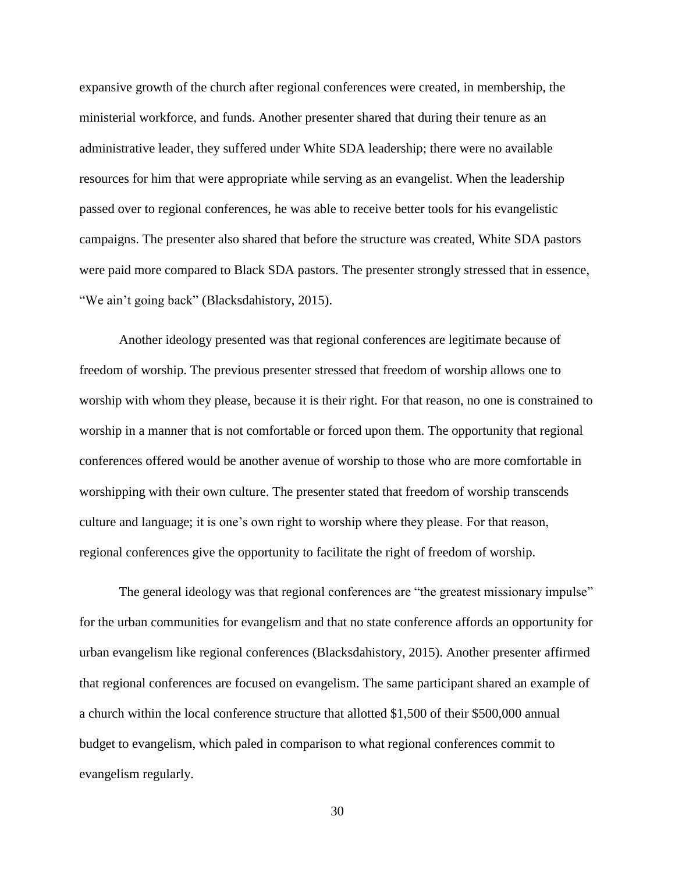expansive growth of the church after regional conferences were created, in membership, the ministerial workforce, and funds. Another presenter shared that during their tenure as an administrative leader, they suffered under White SDA leadership; there were no available resources for him that were appropriate while serving as an evangelist. When the leadership passed over to regional conferences, he was able to receive better tools for his evangelistic campaigns. The presenter also shared that before the structure was created, White SDA pastors were paid more compared to Black SDA pastors. The presenter strongly stressed that in essence, "We ain't going back" (Blacksdahistory, 2015).

Another ideology presented was that regional conferences are legitimate because of freedom of worship. The previous presenter stressed that freedom of worship allows one to worship with whom they please, because it is their right. For that reason, no one is constrained to worship in a manner that is not comfortable or forced upon them. The opportunity that regional conferences offered would be another avenue of worship to those who are more comfortable in worshipping with their own culture. The presenter stated that freedom of worship transcends culture and language; it is one's own right to worship where they please. For that reason, regional conferences give the opportunity to facilitate the right of freedom of worship.

The general ideology was that regional conferences are "the greatest missionary impulse" for the urban communities for evangelism and that no state conference affords an opportunity for urban evangelism like regional conferences (Blacksdahistory, 2015). Another presenter affirmed that regional conferences are focused on evangelism. The same participant shared an example of a church within the local conference structure that allotted \$1,500 of their \$500,000 annual budget to evangelism, which paled in comparison to what regional conferences commit to evangelism regularly.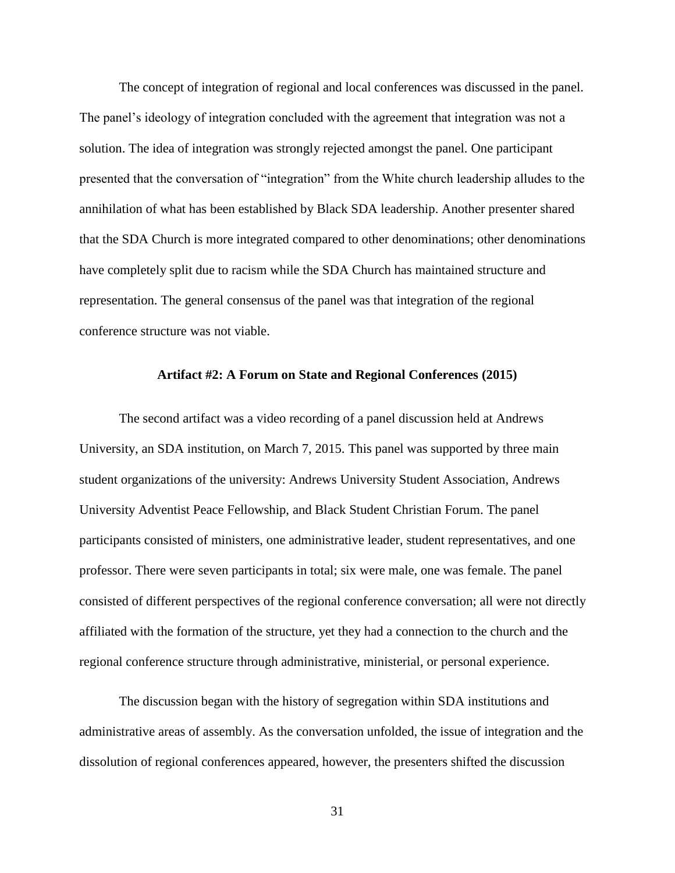The concept of integration of regional and local conferences was discussed in the panel. The panel's ideology of integration concluded with the agreement that integration was not a solution. The idea of integration was strongly rejected amongst the panel. One participant presented that the conversation of "integration" from the White church leadership alludes to the annihilation of what has been established by Black SDA leadership. Another presenter shared that the SDA Church is more integrated compared to other denominations; other denominations have completely split due to racism while the SDA Church has maintained structure and representation. The general consensus of the panel was that integration of the regional conference structure was not viable.

#### **Artifact #2: A Forum on State and Regional Conferences (2015)**

The second artifact was a video recording of a panel discussion held at Andrews University, an SDA institution, on March 7, 2015. This panel was supported by three main student organizations of the university: Andrews University Student Association, Andrews University Adventist Peace Fellowship, and Black Student Christian Forum. The panel participants consisted of ministers, one administrative leader, student representatives, and one professor. There were seven participants in total; six were male, one was female. The panel consisted of different perspectives of the regional conference conversation; all were not directly affiliated with the formation of the structure, yet they had a connection to the church and the regional conference structure through administrative, ministerial, or personal experience.

The discussion began with the history of segregation within SDA institutions and administrative areas of assembly. As the conversation unfolded, the issue of integration and the dissolution of regional conferences appeared, however, the presenters shifted the discussion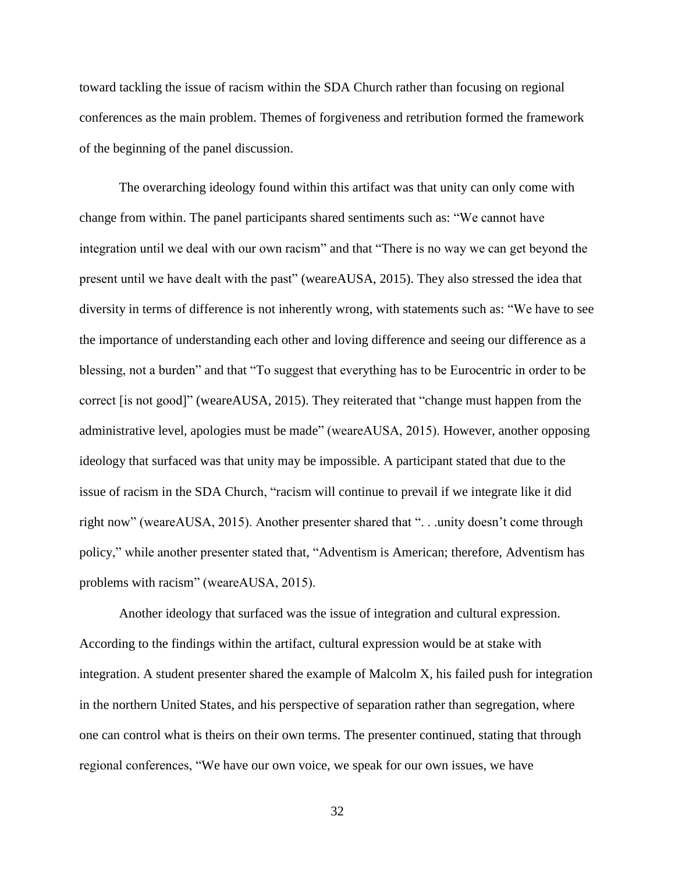toward tackling the issue of racism within the SDA Church rather than focusing on regional conferences as the main problem. Themes of forgiveness and retribution formed the framework of the beginning of the panel discussion.

The overarching ideology found within this artifact was that unity can only come with change from within. The panel participants shared sentiments such as: "We cannot have integration until we deal with our own racism" and that "There is no way we can get beyond the present until we have dealt with the past" (weareAUSA, 2015). They also stressed the idea that diversity in terms of difference is not inherently wrong, with statements such as: "We have to see the importance of understanding each other and loving difference and seeing our difference as a blessing, not a burden" and that "To suggest that everything has to be Eurocentric in order to be correct [is not good]" (weareAUSA, 2015). They reiterated that "change must happen from the administrative level, apologies must be made" (weareAUSA, 2015). However, another opposing ideology that surfaced was that unity may be impossible. A participant stated that due to the issue of racism in the SDA Church, "racism will continue to prevail if we integrate like it did right now" (weareAUSA, 2015). Another presenter shared that ". . .unity doesn't come through policy," while another presenter stated that, "Adventism is American; therefore, Adventism has problems with racism" (weareAUSA, 2015).

Another ideology that surfaced was the issue of integration and cultural expression. According to the findings within the artifact, cultural expression would be at stake with integration. A student presenter shared the example of Malcolm X, his failed push for integration in the northern United States, and his perspective of separation rather than segregation, where one can control what is theirs on their own terms. The presenter continued, stating that through regional conferences, "We have our own voice, we speak for our own issues, we have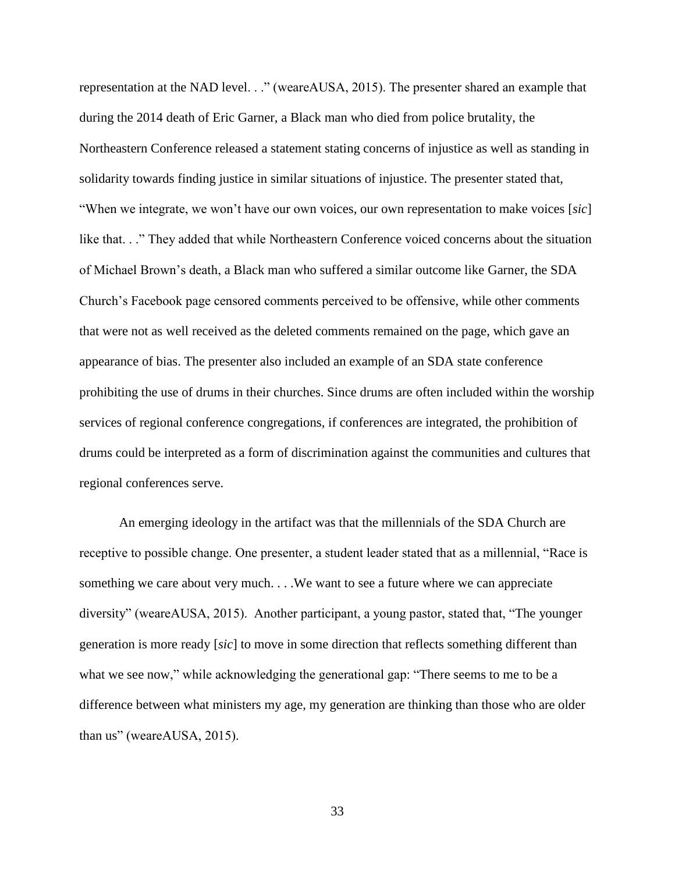representation at the NAD level. . ." (weareAUSA, 2015). The presenter shared an example that during the 2014 death of Eric Garner, a Black man who died from police brutality, the Northeastern Conference released a statement stating concerns of injustice as well as standing in solidarity towards finding justice in similar situations of injustice. The presenter stated that, "When we integrate, we won't have our own voices, our own representation to make voices [*sic*] like that. . ." They added that while Northeastern Conference voiced concerns about the situation of Michael Brown's death, a Black man who suffered a similar outcome like Garner, the SDA Church's Facebook page censored comments perceived to be offensive, while other comments that were not as well received as the deleted comments remained on the page, which gave an appearance of bias. The presenter also included an example of an SDA state conference prohibiting the use of drums in their churches. Since drums are often included within the worship services of regional conference congregations, if conferences are integrated, the prohibition of drums could be interpreted as a form of discrimination against the communities and cultures that regional conferences serve.

An emerging ideology in the artifact was that the millennials of the SDA Church are receptive to possible change. One presenter, a student leader stated that as a millennial, "Race is something we care about very much. . . .We want to see a future where we can appreciate diversity" (weareAUSA, 2015). Another participant, a young pastor, stated that, "The younger generation is more ready [*sic*] to move in some direction that reflects something different than what we see now," while acknowledging the generational gap: "There seems to me to be a difference between what ministers my age, my generation are thinking than those who are older than us" (weareAUSA, 2015).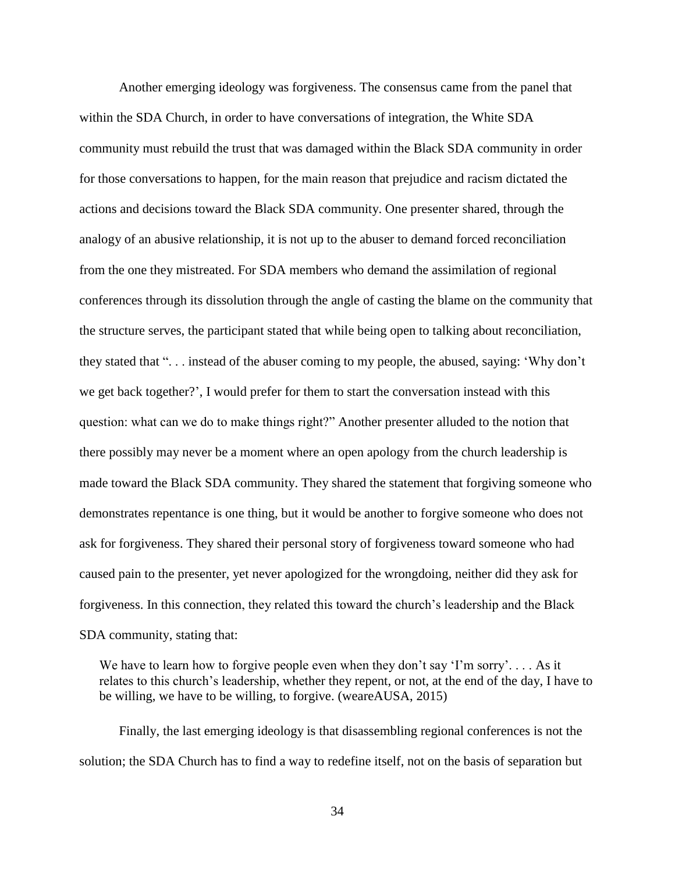Another emerging ideology was forgiveness. The consensus came from the panel that within the SDA Church, in order to have conversations of integration, the White SDA community must rebuild the trust that was damaged within the Black SDA community in order for those conversations to happen, for the main reason that prejudice and racism dictated the actions and decisions toward the Black SDA community. One presenter shared, through the analogy of an abusive relationship, it is not up to the abuser to demand forced reconciliation from the one they mistreated. For SDA members who demand the assimilation of regional conferences through its dissolution through the angle of casting the blame on the community that the structure serves, the participant stated that while being open to talking about reconciliation, they stated that ". . . instead of the abuser coming to my people, the abused, saying: 'Why don't we get back together?', I would prefer for them to start the conversation instead with this question: what can we do to make things right?" Another presenter alluded to the notion that there possibly may never be a moment where an open apology from the church leadership is made toward the Black SDA community. They shared the statement that forgiving someone who demonstrates repentance is one thing, but it would be another to forgive someone who does not ask for forgiveness. They shared their personal story of forgiveness toward someone who had caused pain to the presenter, yet never apologized for the wrongdoing, neither did they ask for forgiveness. In this connection, they related this toward the church's leadership and the Black SDA community, stating that:

We have to learn how to forgive people even when they don't say 'I'm sorry'.... As it relates to this church's leadership, whether they repent, or not, at the end of the day, I have to be willing, we have to be willing, to forgive. (weareAUSA, 2015)

Finally, the last emerging ideology is that disassembling regional conferences is not the solution; the SDA Church has to find a way to redefine itself, not on the basis of separation but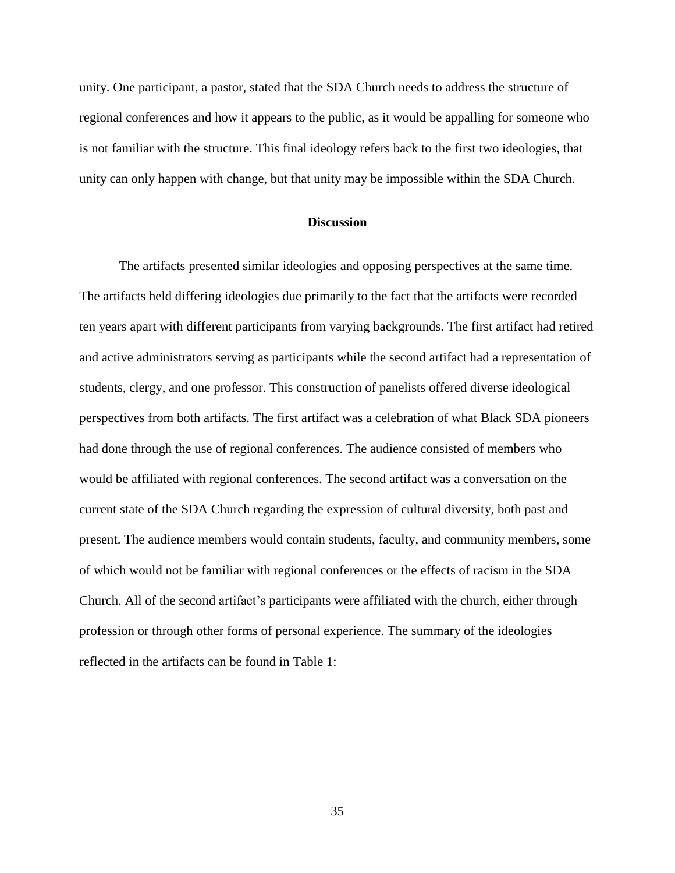unity. One participant, a pastor, stated that the SDA Church needs to address the structure of regional conferences and how it appears to the public, as it would be appalling for someone who is not familiar with the structure. This final ideology refers back to the first two ideologies, that unity can only happen with change, but that unity may be impossible within the SDA Church.

#### **Discussion**

The artifacts presented similar ideologies and opposing perspectives at the same time. The artifacts held differing ideologies due primarily to the fact that the artifacts were recorded ten years apart with different participants from varying backgrounds. The first artifact had retired and active administrators serving as participants while the second artifact had a representation of students, clergy, and one professor. This construction of panelists offered diverse ideological perspectives from both artifacts. The first artifact was a celebration of what Black SDA pioneers had done through the use of regional conferences. The audience consisted of members who would be affiliated with regional conferences. The second artifact was a conversation on the current state of the SDA Church regarding the expression of cultural diversity, both past and present. The audience members would contain students, faculty, and community members, some of which would not be familiar with regional conferences or the effects of racism in the SDA Church. All of the second artifact's participants were affiliated with the church, either through profession or through other forms of personal experience. The summary of the ideologies reflected in the artifacts can be found in Table 1: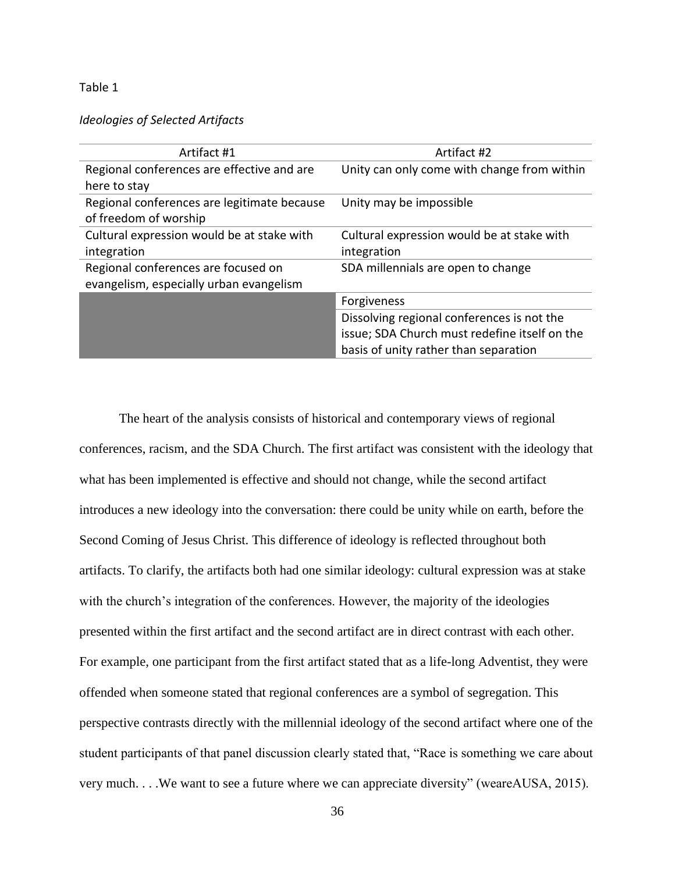#### Table 1

#### *Ideologies of Selected Artifacts*

| Artifact #1                                 | Artifact #2                                   |
|---------------------------------------------|-----------------------------------------------|
| Regional conferences are effective and are  | Unity can only come with change from within   |
| here to stay                                |                                               |
| Regional conferences are legitimate because | Unity may be impossible                       |
| of freedom of worship                       |                                               |
| Cultural expression would be at stake with  | Cultural expression would be at stake with    |
| integration                                 | integration                                   |
| Regional conferences are focused on         | SDA millennials are open to change            |
| evangelism, especially urban evangelism     |                                               |
|                                             | Forgiveness                                   |
|                                             | Dissolving regional conferences is not the    |
|                                             | issue; SDA Church must redefine itself on the |
|                                             | basis of unity rather than separation         |

The heart of the analysis consists of historical and contemporary views of regional conferences, racism, and the SDA Church. The first artifact was consistent with the ideology that what has been implemented is effective and should not change, while the second artifact introduces a new ideology into the conversation: there could be unity while on earth, before the Second Coming of Jesus Christ. This difference of ideology is reflected throughout both artifacts. To clarify, the artifacts both had one similar ideology: cultural expression was at stake with the church's integration of the conferences. However, the majority of the ideologies presented within the first artifact and the second artifact are in direct contrast with each other. For example, one participant from the first artifact stated that as a life-long Adventist, they were offended when someone stated that regional conferences are a symbol of segregation. This perspective contrasts directly with the millennial ideology of the second artifact where one of the student participants of that panel discussion clearly stated that, "Race is something we care about very much. . . .We want to see a future where we can appreciate diversity" (weareAUSA, 2015).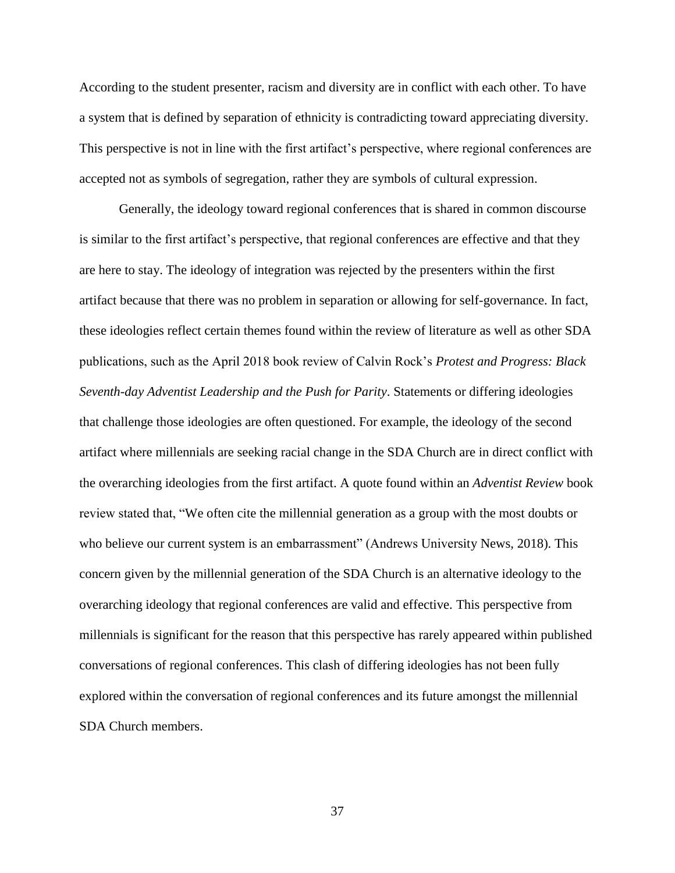According to the student presenter, racism and diversity are in conflict with each other. To have a system that is defined by separation of ethnicity is contradicting toward appreciating diversity. This perspective is not in line with the first artifact's perspective, where regional conferences are accepted not as symbols of segregation, rather they are symbols of cultural expression.

Generally, the ideology toward regional conferences that is shared in common discourse is similar to the first artifact's perspective, that regional conferences are effective and that they are here to stay. The ideology of integration was rejected by the presenters within the first artifact because that there was no problem in separation or allowing for self-governance. In fact, these ideologies reflect certain themes found within the review of literature as well as other SDA publications, such as the April 2018 book review of Calvin Rock's *Protest and Progress: Black Seventh-day Adventist Leadership and the Push for Parity*. Statements or differing ideologies that challenge those ideologies are often questioned. For example, the ideology of the second artifact where millennials are seeking racial change in the SDA Church are in direct conflict with the overarching ideologies from the first artifact. A quote found within an *Adventist Review* book review stated that, "We often cite the millennial generation as a group with the most doubts or who believe our current system is an embarrassment" (Andrews University News, 2018). This concern given by the millennial generation of the SDA Church is an alternative ideology to the overarching ideology that regional conferences are valid and effective. This perspective from millennials is significant for the reason that this perspective has rarely appeared within published conversations of regional conferences. This clash of differing ideologies has not been fully explored within the conversation of regional conferences and its future amongst the millennial SDA Church members.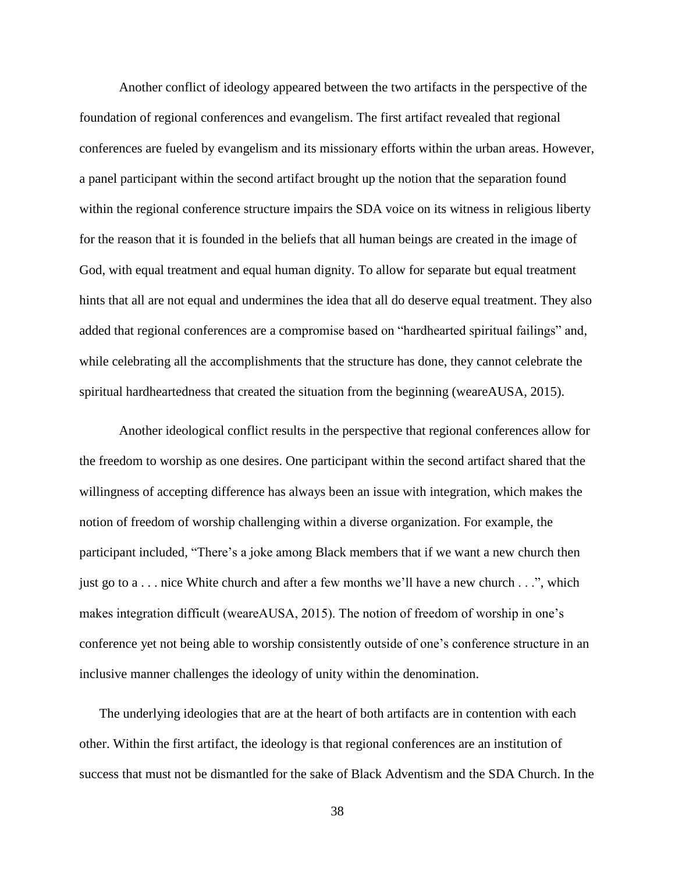Another conflict of ideology appeared between the two artifacts in the perspective of the foundation of regional conferences and evangelism. The first artifact revealed that regional conferences are fueled by evangelism and its missionary efforts within the urban areas. However, a panel participant within the second artifact brought up the notion that the separation found within the regional conference structure impairs the SDA voice on its witness in religious liberty for the reason that it is founded in the beliefs that all human beings are created in the image of God, with equal treatment and equal human dignity. To allow for separate but equal treatment hints that all are not equal and undermines the idea that all do deserve equal treatment. They also added that regional conferences are a compromise based on "hardhearted spiritual failings" and, while celebrating all the accomplishments that the structure has done, they cannot celebrate the spiritual hardheartedness that created the situation from the beginning (weareAUSA, 2015).

Another ideological conflict results in the perspective that regional conferences allow for the freedom to worship as one desires. One participant within the second artifact shared that the willingness of accepting difference has always been an issue with integration, which makes the notion of freedom of worship challenging within a diverse organization. For example, the participant included, "There's a joke among Black members that if we want a new church then just go to a . . . nice White church and after a few months we'll have a new church . . .", which makes integration difficult (weareAUSA, 2015). The notion of freedom of worship in one's conference yet not being able to worship consistently outside of one's conference structure in an inclusive manner challenges the ideology of unity within the denomination.

The underlying ideologies that are at the heart of both artifacts are in contention with each other. Within the first artifact, the ideology is that regional conferences are an institution of success that must not be dismantled for the sake of Black Adventism and the SDA Church. In the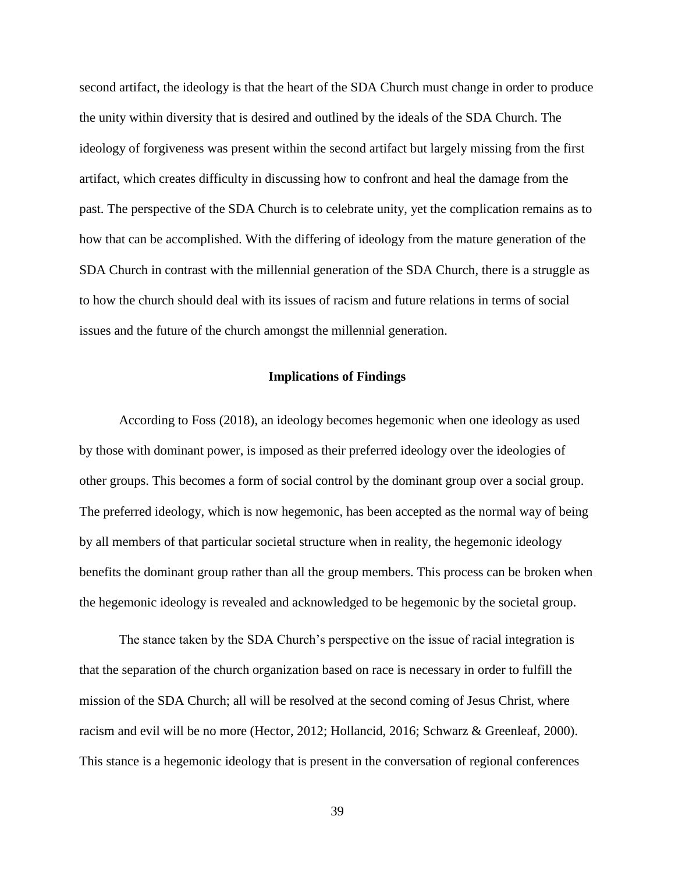second artifact, the ideology is that the heart of the SDA Church must change in order to produce the unity within diversity that is desired and outlined by the ideals of the SDA Church. The ideology of forgiveness was present within the second artifact but largely missing from the first artifact, which creates difficulty in discussing how to confront and heal the damage from the past. The perspective of the SDA Church is to celebrate unity, yet the complication remains as to how that can be accomplished. With the differing of ideology from the mature generation of the SDA Church in contrast with the millennial generation of the SDA Church, there is a struggle as to how the church should deal with its issues of racism and future relations in terms of social issues and the future of the church amongst the millennial generation.

#### **Implications of Findings**

According to Foss (2018), an ideology becomes hegemonic when one ideology as used by those with dominant power, is imposed as their preferred ideology over the ideologies of other groups. This becomes a form of social control by the dominant group over a social group. The preferred ideology, which is now hegemonic, has been accepted as the normal way of being by all members of that particular societal structure when in reality, the hegemonic ideology benefits the dominant group rather than all the group members. This process can be broken when the hegemonic ideology is revealed and acknowledged to be hegemonic by the societal group.

The stance taken by the SDA Church's perspective on the issue of racial integration is that the separation of the church organization based on race is necessary in order to fulfill the mission of the SDA Church; all will be resolved at the second coming of Jesus Christ, where racism and evil will be no more (Hector, 2012; Hollancid, 2016; Schwarz & Greenleaf, 2000). This stance is a hegemonic ideology that is present in the conversation of regional conferences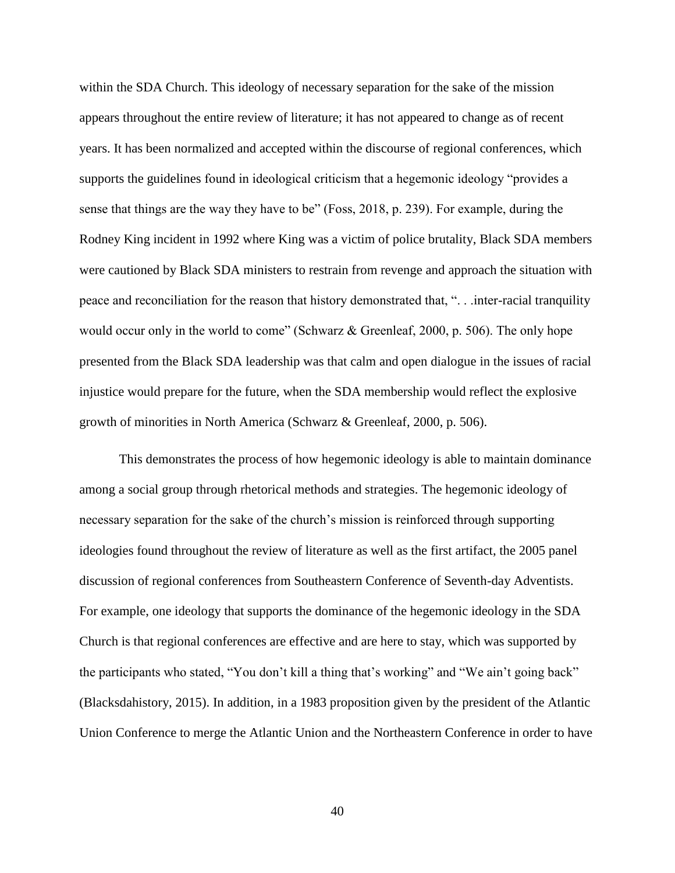within the SDA Church. This ideology of necessary separation for the sake of the mission appears throughout the entire review of literature; it has not appeared to change as of recent years. It has been normalized and accepted within the discourse of regional conferences, which supports the guidelines found in ideological criticism that a hegemonic ideology "provides a sense that things are the way they have to be" (Foss, 2018, p. 239). For example, during the Rodney King incident in 1992 where King was a victim of police brutality, Black SDA members were cautioned by Black SDA ministers to restrain from revenge and approach the situation with peace and reconciliation for the reason that history demonstrated that, ". . .inter-racial tranquility would occur only in the world to come" (Schwarz & Greenleaf, 2000, p. 506). The only hope presented from the Black SDA leadership was that calm and open dialogue in the issues of racial injustice would prepare for the future, when the SDA membership would reflect the explosive growth of minorities in North America (Schwarz & Greenleaf, 2000, p. 506).

This demonstrates the process of how hegemonic ideology is able to maintain dominance among a social group through rhetorical methods and strategies. The hegemonic ideology of necessary separation for the sake of the church's mission is reinforced through supporting ideologies found throughout the review of literature as well as the first artifact, the 2005 panel discussion of regional conferences from Southeastern Conference of Seventh-day Adventists. For example, one ideology that supports the dominance of the hegemonic ideology in the SDA Church is that regional conferences are effective and are here to stay, which was supported by the participants who stated, "You don't kill a thing that's working" and "We ain't going back" (Blacksdahistory, 2015). In addition, in a 1983 proposition given by the president of the Atlantic Union Conference to merge the Atlantic Union and the Northeastern Conference in order to have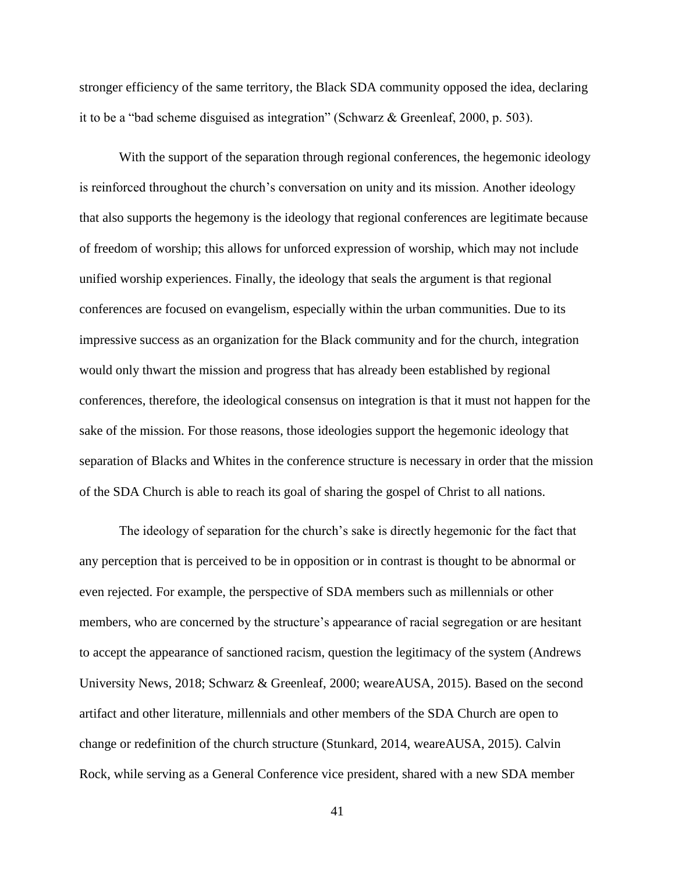stronger efficiency of the same territory, the Black SDA community opposed the idea, declaring it to be a "bad scheme disguised as integration" (Schwarz & Greenleaf, 2000, p. 503).

With the support of the separation through regional conferences, the hegemonic ideology is reinforced throughout the church's conversation on unity and its mission. Another ideology that also supports the hegemony is the ideology that regional conferences are legitimate because of freedom of worship; this allows for unforced expression of worship, which may not include unified worship experiences. Finally, the ideology that seals the argument is that regional conferences are focused on evangelism, especially within the urban communities. Due to its impressive success as an organization for the Black community and for the church, integration would only thwart the mission and progress that has already been established by regional conferences, therefore, the ideological consensus on integration is that it must not happen for the sake of the mission. For those reasons, those ideologies support the hegemonic ideology that separation of Blacks and Whites in the conference structure is necessary in order that the mission of the SDA Church is able to reach its goal of sharing the gospel of Christ to all nations.

The ideology of separation for the church's sake is directly hegemonic for the fact that any perception that is perceived to be in opposition or in contrast is thought to be abnormal or even rejected. For example, the perspective of SDA members such as millennials or other members, who are concerned by the structure's appearance of racial segregation or are hesitant to accept the appearance of sanctioned racism, question the legitimacy of the system (Andrews University News, 2018; Schwarz & Greenleaf, 2000; weareAUSA, 2015). Based on the second artifact and other literature, millennials and other members of the SDA Church are open to change or redefinition of the church structure (Stunkard, 2014, weareAUSA, 2015). Calvin Rock, while serving as a General Conference vice president, shared with a new SDA member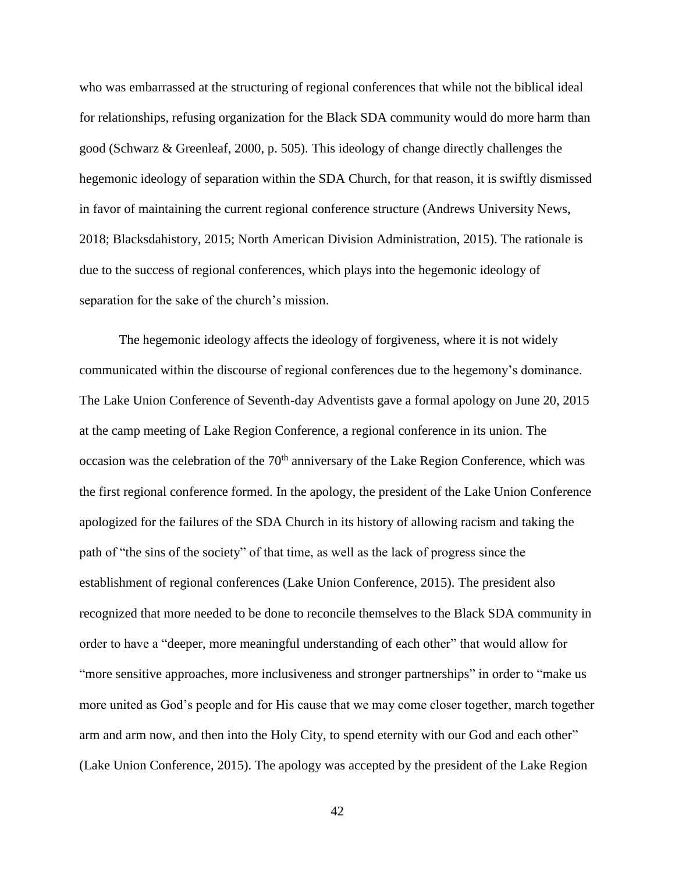who was embarrassed at the structuring of regional conferences that while not the biblical ideal for relationships, refusing organization for the Black SDA community would do more harm than good (Schwarz & Greenleaf, 2000, p. 505). This ideology of change directly challenges the hegemonic ideology of separation within the SDA Church, for that reason, it is swiftly dismissed in favor of maintaining the current regional conference structure (Andrews University News, 2018; Blacksdahistory, 2015; North American Division Administration, 2015). The rationale is due to the success of regional conferences, which plays into the hegemonic ideology of separation for the sake of the church's mission.

The hegemonic ideology affects the ideology of forgiveness, where it is not widely communicated within the discourse of regional conferences due to the hegemony's dominance. The Lake Union Conference of Seventh-day Adventists gave a formal apology on June 20, 2015 at the camp meeting of Lake Region Conference, a regional conference in its union. The occasion was the celebration of the  $70<sup>th</sup>$  anniversary of the Lake Region Conference, which was the first regional conference formed. In the apology, the president of the Lake Union Conference apologized for the failures of the SDA Church in its history of allowing racism and taking the path of "the sins of the society" of that time, as well as the lack of progress since the establishment of regional conferences (Lake Union Conference, 2015). The president also recognized that more needed to be done to reconcile themselves to the Black SDA community in order to have a "deeper, more meaningful understanding of each other" that would allow for "more sensitive approaches, more inclusiveness and stronger partnerships" in order to "make us more united as God's people and for His cause that we may come closer together, march together arm and arm now, and then into the Holy City, to spend eternity with our God and each other" (Lake Union Conference, 2015). The apology was accepted by the president of the Lake Region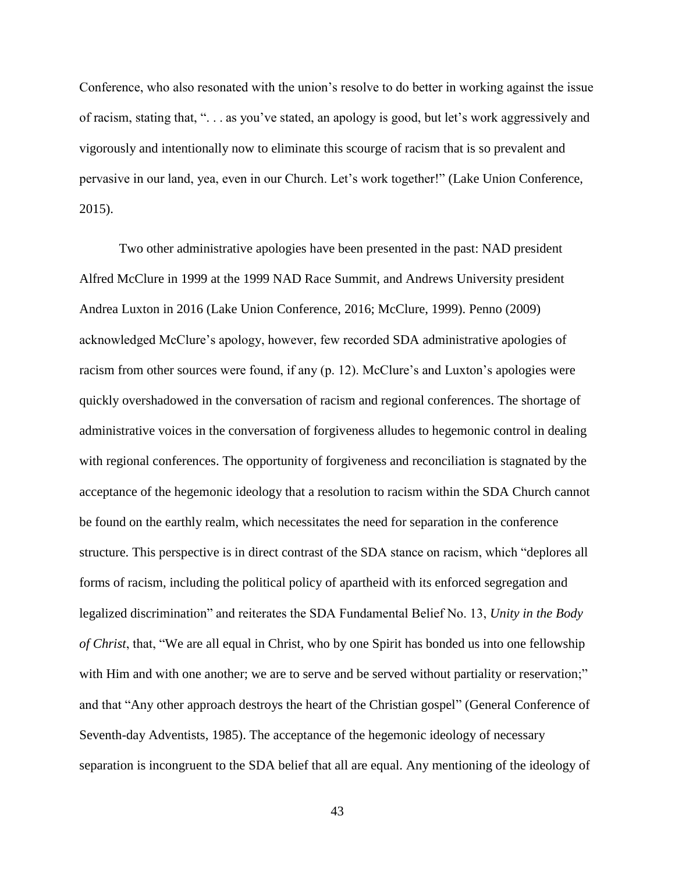Conference, who also resonated with the union's resolve to do better in working against the issue of racism, stating that, ". . . as you've stated, an apology is good, but let's work aggressively and vigorously and intentionally now to eliminate this scourge of racism that is so prevalent and pervasive in our land, yea, even in our Church. Let's work together!" (Lake Union Conference, 2015).

Two other administrative apologies have been presented in the past: NAD president Alfred McClure in 1999 at the 1999 NAD Race Summit, and Andrews University president Andrea Luxton in 2016 (Lake Union Conference, 2016; McClure, 1999). Penno (2009) acknowledged McClure's apology, however, few recorded SDA administrative apologies of racism from other sources were found, if any (p. 12). McClure's and Luxton's apologies were quickly overshadowed in the conversation of racism and regional conferences. The shortage of administrative voices in the conversation of forgiveness alludes to hegemonic control in dealing with regional conferences. The opportunity of forgiveness and reconciliation is stagnated by the acceptance of the hegemonic ideology that a resolution to racism within the SDA Church cannot be found on the earthly realm, which necessitates the need for separation in the conference structure. This perspective is in direct contrast of the SDA stance on racism, which "deplores all forms of racism, including the political policy of apartheid with its enforced segregation and legalized discrimination" and reiterates the SDA Fundamental Belief No. 13, *Unity in the Body of Christ*, that, "We are all equal in Christ, who by one Spirit has bonded us into one fellowship with Him and with one another; we are to serve and be served without partiality or reservation;" and that "Any other approach destroys the heart of the Christian gospel" (General Conference of Seventh-day Adventists, 1985). The acceptance of the hegemonic ideology of necessary separation is incongruent to the SDA belief that all are equal. Any mentioning of the ideology of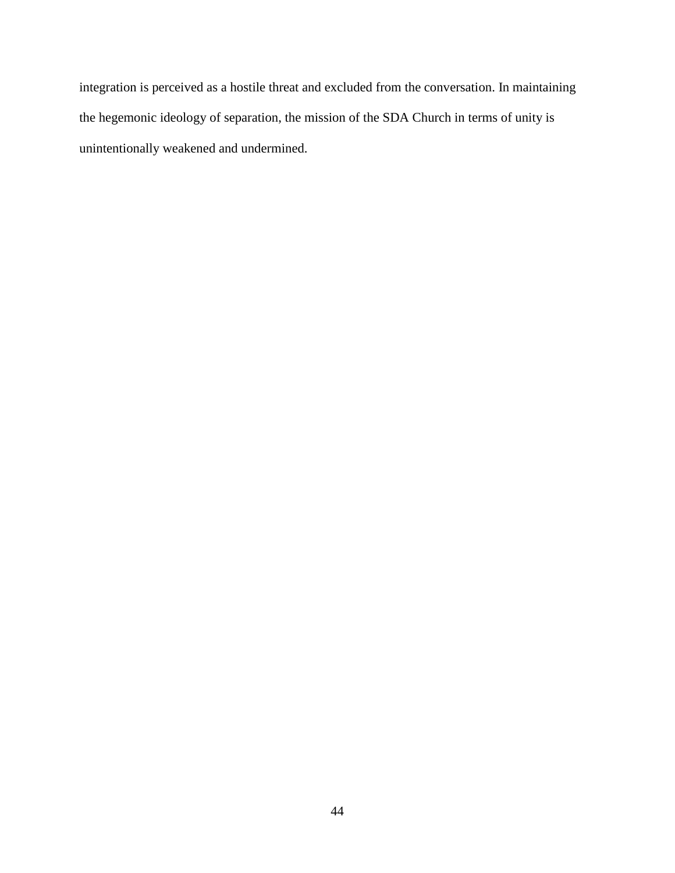integration is perceived as a hostile threat and excluded from the conversation. In maintaining the hegemonic ideology of separation, the mission of the SDA Church in terms of unity is unintentionally weakened and undermined.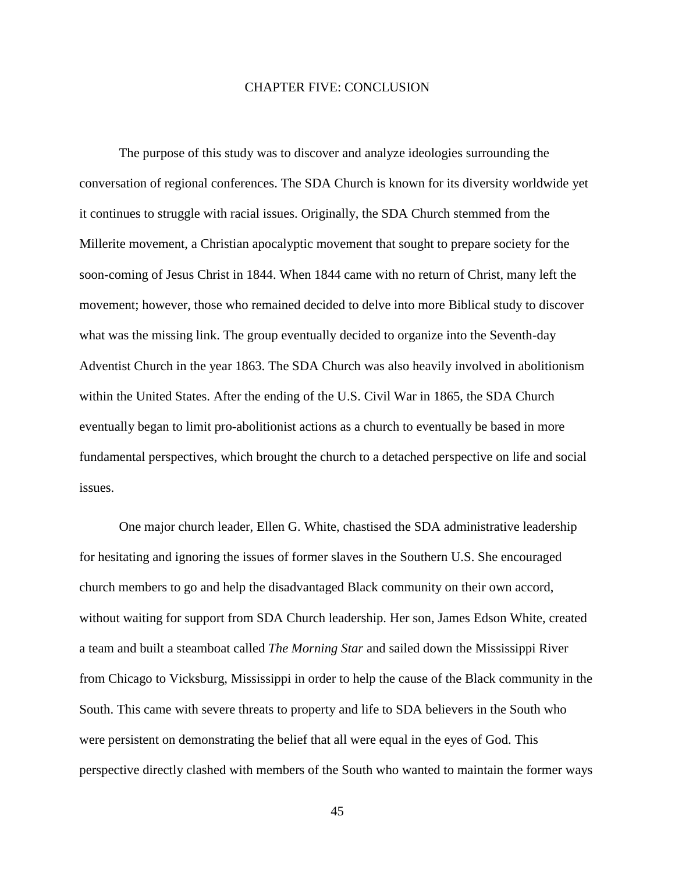#### CHAPTER FIVE: CONCLUSION

The purpose of this study was to discover and analyze ideologies surrounding the conversation of regional conferences. The SDA Church is known for its diversity worldwide yet it continues to struggle with racial issues. Originally, the SDA Church stemmed from the Millerite movement, a Christian apocalyptic movement that sought to prepare society for the soon-coming of Jesus Christ in 1844. When 1844 came with no return of Christ, many left the movement; however, those who remained decided to delve into more Biblical study to discover what was the missing link. The group eventually decided to organize into the Seventh-day Adventist Church in the year 1863. The SDA Church was also heavily involved in abolitionism within the United States. After the ending of the U.S. Civil War in 1865, the SDA Church eventually began to limit pro-abolitionist actions as a church to eventually be based in more fundamental perspectives, which brought the church to a detached perspective on life and social issues.

One major church leader, Ellen G. White, chastised the SDA administrative leadership for hesitating and ignoring the issues of former slaves in the Southern U.S. She encouraged church members to go and help the disadvantaged Black community on their own accord, without waiting for support from SDA Church leadership. Her son, James Edson White, created a team and built a steamboat called *The Morning Star* and sailed down the Mississippi River from Chicago to Vicksburg, Mississippi in order to help the cause of the Black community in the South. This came with severe threats to property and life to SDA believers in the South who were persistent on demonstrating the belief that all were equal in the eyes of God. This perspective directly clashed with members of the South who wanted to maintain the former ways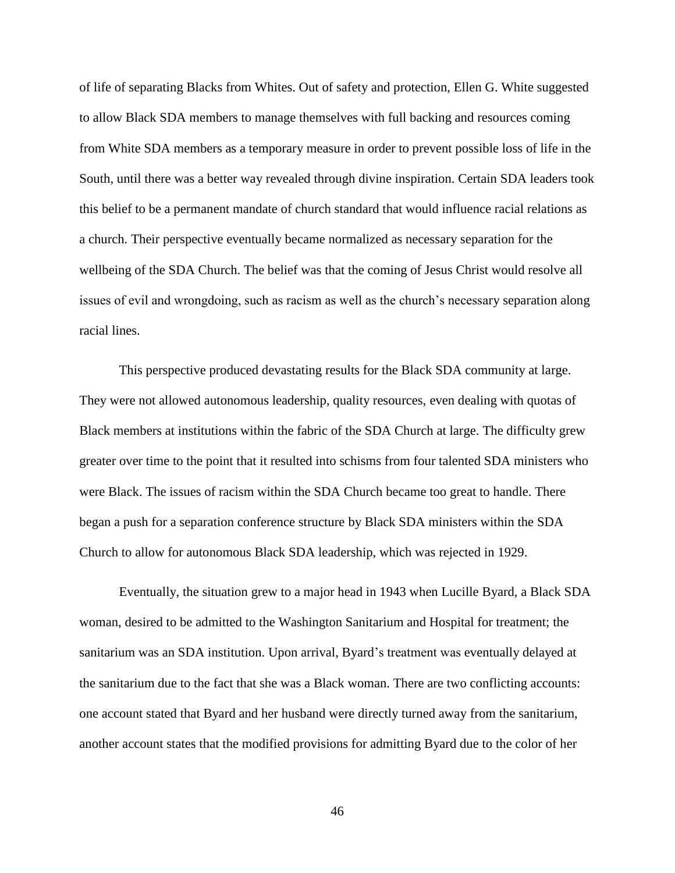of life of separating Blacks from Whites. Out of safety and protection, Ellen G. White suggested to allow Black SDA members to manage themselves with full backing and resources coming from White SDA members as a temporary measure in order to prevent possible loss of life in the South, until there was a better way revealed through divine inspiration. Certain SDA leaders took this belief to be a permanent mandate of church standard that would influence racial relations as a church. Their perspective eventually became normalized as necessary separation for the wellbeing of the SDA Church. The belief was that the coming of Jesus Christ would resolve all issues of evil and wrongdoing, such as racism as well as the church's necessary separation along racial lines.

This perspective produced devastating results for the Black SDA community at large. They were not allowed autonomous leadership, quality resources, even dealing with quotas of Black members at institutions within the fabric of the SDA Church at large. The difficulty grew greater over time to the point that it resulted into schisms from four talented SDA ministers who were Black. The issues of racism within the SDA Church became too great to handle. There began a push for a separation conference structure by Black SDA ministers within the SDA Church to allow for autonomous Black SDA leadership, which was rejected in 1929.

Eventually, the situation grew to a major head in 1943 when Lucille Byard, a Black SDA woman, desired to be admitted to the Washington Sanitarium and Hospital for treatment; the sanitarium was an SDA institution. Upon arrival, Byard's treatment was eventually delayed at the sanitarium due to the fact that she was a Black woman. There are two conflicting accounts: one account stated that Byard and her husband were directly turned away from the sanitarium, another account states that the modified provisions for admitting Byard due to the color of her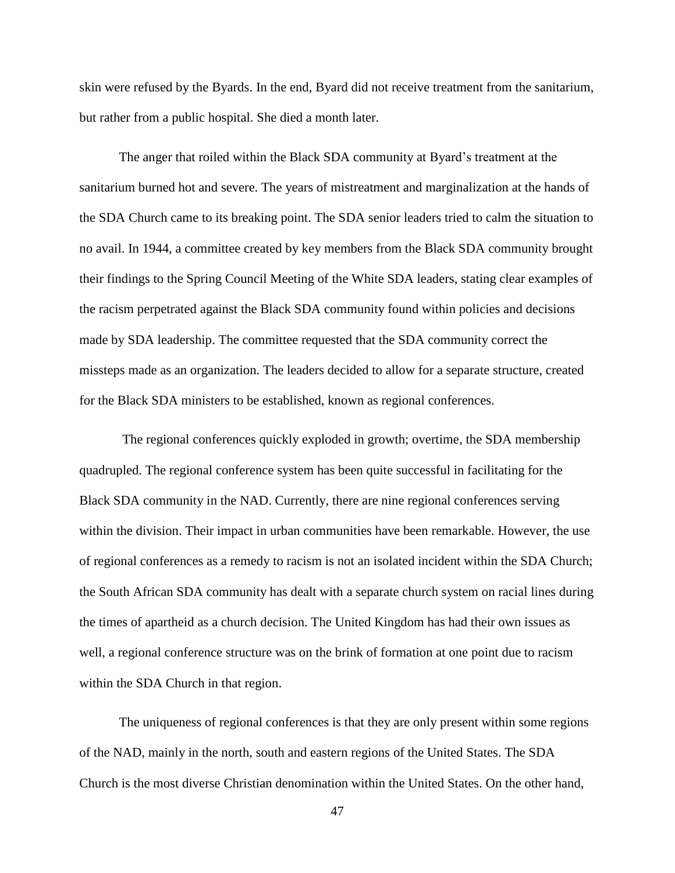skin were refused by the Byards. In the end, Byard did not receive treatment from the sanitarium, but rather from a public hospital. She died a month later.

The anger that roiled within the Black SDA community at Byard's treatment at the sanitarium burned hot and severe. The years of mistreatment and marginalization at the hands of the SDA Church came to its breaking point. The SDA senior leaders tried to calm the situation to no avail. In 1944, a committee created by key members from the Black SDA community brought their findings to the Spring Council Meeting of the White SDA leaders, stating clear examples of the racism perpetrated against the Black SDA community found within policies and decisions made by SDA leadership. The committee requested that the SDA community correct the missteps made as an organization. The leaders decided to allow for a separate structure, created for the Black SDA ministers to be established, known as regional conferences.

The regional conferences quickly exploded in growth; overtime, the SDA membership quadrupled. The regional conference system has been quite successful in facilitating for the Black SDA community in the NAD. Currently, there are nine regional conferences serving within the division. Their impact in urban communities have been remarkable. However, the use of regional conferences as a remedy to racism is not an isolated incident within the SDA Church; the South African SDA community has dealt with a separate church system on racial lines during the times of apartheid as a church decision. The United Kingdom has had their own issues as well, a regional conference structure was on the brink of formation at one point due to racism within the SDA Church in that region.

The uniqueness of regional conferences is that they are only present within some regions of the NAD, mainly in the north, south and eastern regions of the United States. The SDA Church is the most diverse Christian denomination within the United States. On the other hand,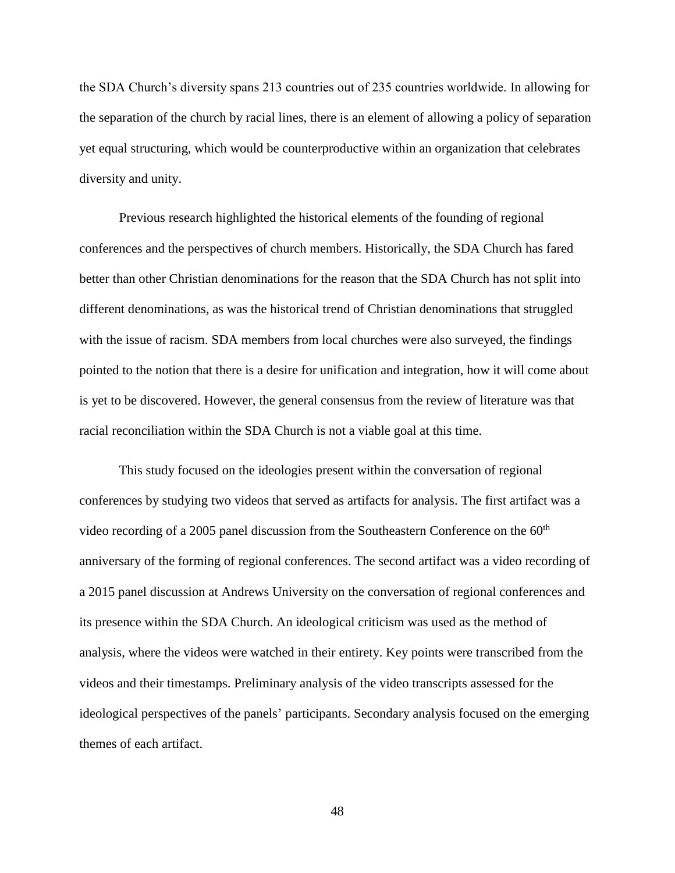the SDA Church's diversity spans 213 countries out of 235 countries worldwide. In allowing for the separation of the church by racial lines, there is an element of allowing a policy of separation yet equal structuring, which would be counterproductive within an organization that celebrates diversity and unity.

Previous research highlighted the historical elements of the founding of regional conferences and the perspectives of church members. Historically, the SDA Church has fared better than other Christian denominations for the reason that the SDA Church has not split into different denominations, as was the historical trend of Christian denominations that struggled with the issue of racism. SDA members from local churches were also surveyed, the findings pointed to the notion that there is a desire for unification and integration, how it will come about is yet to be discovered. However, the general consensus from the review of literature was that racial reconciliation within the SDA Church is not a viable goal at this time.

This study focused on the ideologies present within the conversation of regional conferences by studying two videos that served as artifacts for analysis. The first artifact was a video recording of a 2005 panel discussion from the Southeastern Conference on the  $60<sup>th</sup>$ anniversary of the forming of regional conferences. The second artifact was a video recording of a 2015 panel discussion at Andrews University on the conversation of regional conferences and its presence within the SDA Church. An ideological criticism was used as the method of analysis, where the videos were watched in their entirety. Key points were transcribed from the videos and their timestamps. Preliminary analysis of the video transcripts assessed for the ideological perspectives of the panels' participants. Secondary analysis focused on the emerging themes of each artifact.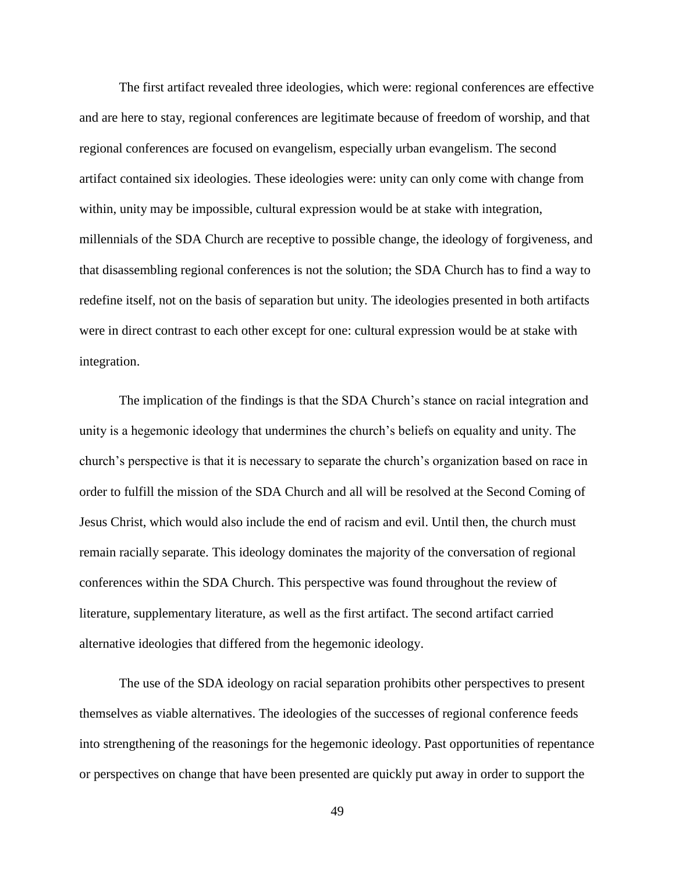The first artifact revealed three ideologies, which were: regional conferences are effective and are here to stay, regional conferences are legitimate because of freedom of worship, and that regional conferences are focused on evangelism, especially urban evangelism. The second artifact contained six ideologies. These ideologies were: unity can only come with change from within, unity may be impossible, cultural expression would be at stake with integration, millennials of the SDA Church are receptive to possible change, the ideology of forgiveness, and that disassembling regional conferences is not the solution; the SDA Church has to find a way to redefine itself, not on the basis of separation but unity. The ideologies presented in both artifacts were in direct contrast to each other except for one: cultural expression would be at stake with integration.

The implication of the findings is that the SDA Church's stance on racial integration and unity is a hegemonic ideology that undermines the church's beliefs on equality and unity. The church's perspective is that it is necessary to separate the church's organization based on race in order to fulfill the mission of the SDA Church and all will be resolved at the Second Coming of Jesus Christ, which would also include the end of racism and evil. Until then, the church must remain racially separate. This ideology dominates the majority of the conversation of regional conferences within the SDA Church. This perspective was found throughout the review of literature, supplementary literature, as well as the first artifact. The second artifact carried alternative ideologies that differed from the hegemonic ideology.

The use of the SDA ideology on racial separation prohibits other perspectives to present themselves as viable alternatives. The ideologies of the successes of regional conference feeds into strengthening of the reasonings for the hegemonic ideology. Past opportunities of repentance or perspectives on change that have been presented are quickly put away in order to support the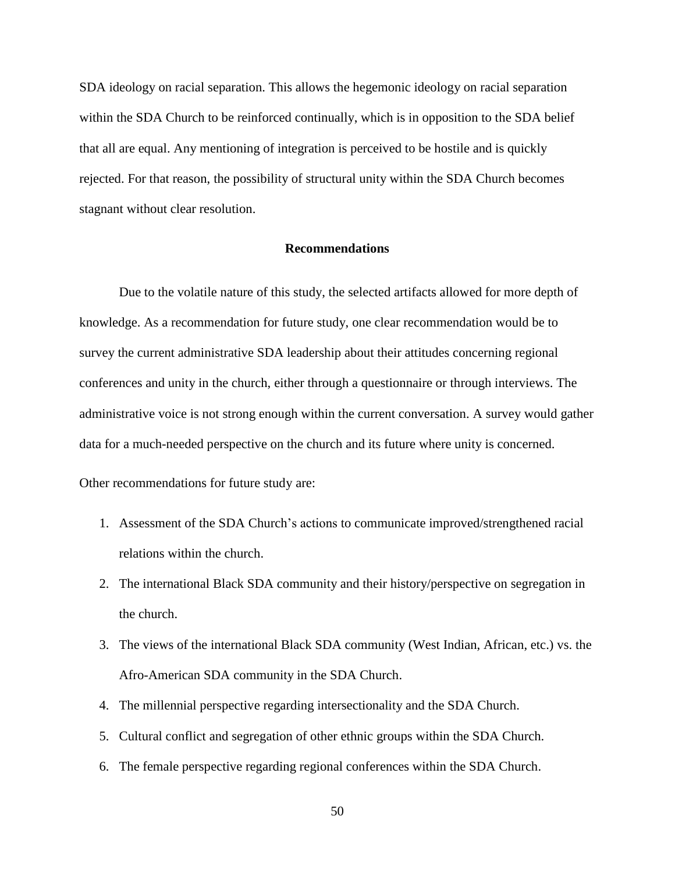SDA ideology on racial separation. This allows the hegemonic ideology on racial separation within the SDA Church to be reinforced continually, which is in opposition to the SDA belief that all are equal. Any mentioning of integration is perceived to be hostile and is quickly rejected. For that reason, the possibility of structural unity within the SDA Church becomes stagnant without clear resolution.

#### **Recommendations**

Due to the volatile nature of this study, the selected artifacts allowed for more depth of knowledge. As a recommendation for future study, one clear recommendation would be to survey the current administrative SDA leadership about their attitudes concerning regional conferences and unity in the church, either through a questionnaire or through interviews. The administrative voice is not strong enough within the current conversation. A survey would gather data for a much-needed perspective on the church and its future where unity is concerned.

Other recommendations for future study are:

- 1. Assessment of the SDA Church's actions to communicate improved/strengthened racial relations within the church.
- 2. The international Black SDA community and their history/perspective on segregation in the church.
- 3. The views of the international Black SDA community (West Indian, African, etc.) vs. the Afro-American SDA community in the SDA Church.
- 4. The millennial perspective regarding intersectionality and the SDA Church.
- 5. Cultural conflict and segregation of other ethnic groups within the SDA Church.
- 6. The female perspective regarding regional conferences within the SDA Church.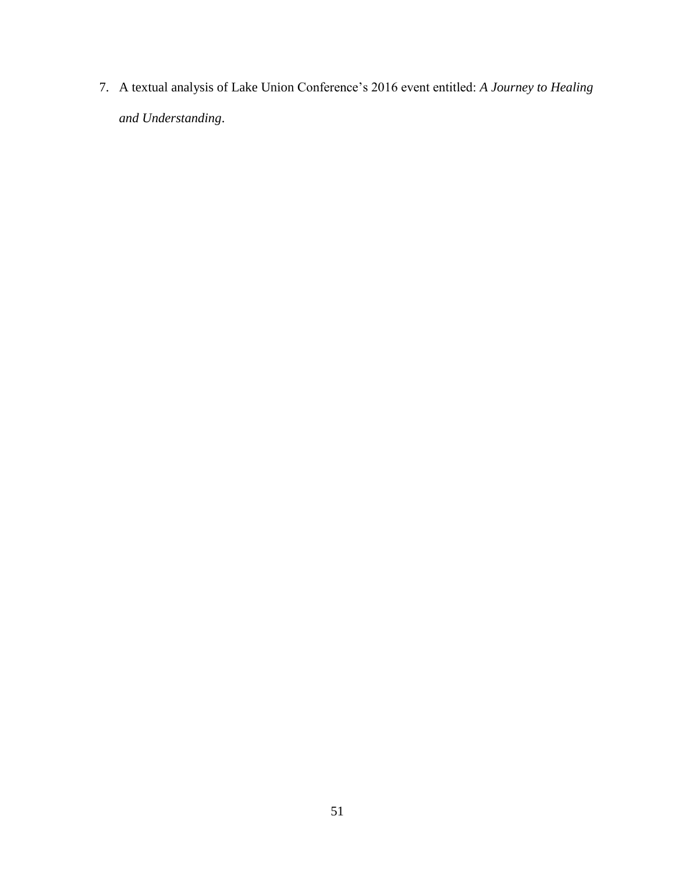7. A textual analysis of Lake Union Conference's 2016 event entitled: *A Journey to Healing and Understanding*.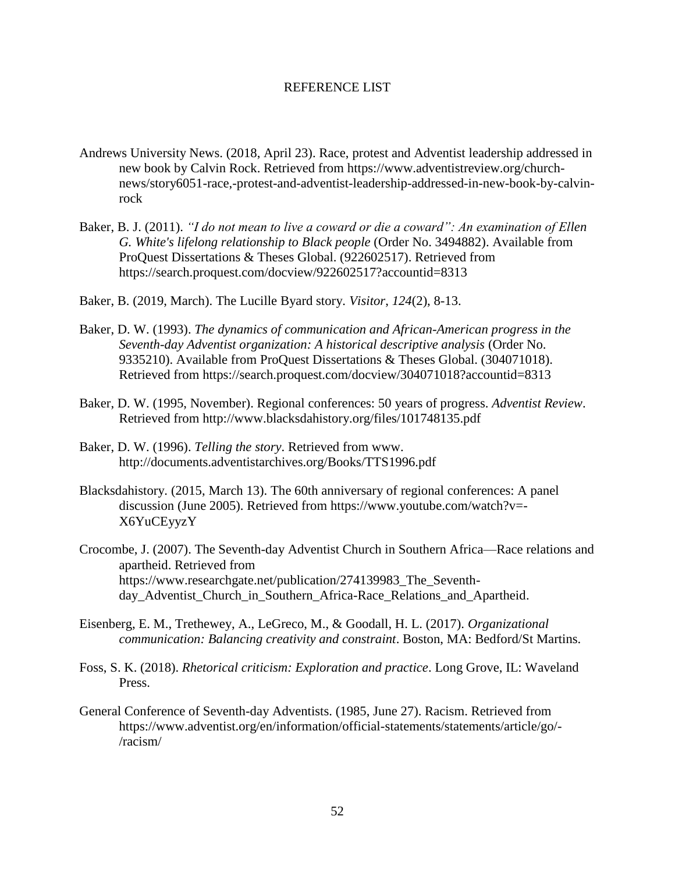#### REFERENCE LIST

- Andrews University News. (2018, April 23). Race, protest and Adventist leadership addressed in new book by Calvin Rock. Retrieved from https://www.adventistreview.org/churchnews/story6051-race,-protest-and-adventist-leadership-addressed-in-new-book-by-calvinrock
- Baker, B. J. (2011). *"I do not mean to live a coward or die a coward": An examination of Ellen G. White's lifelong relationship to Black people* (Order No. 3494882). Available from ProQuest Dissertations & Theses Global. (922602517). Retrieved from <https://search.proquest.com/docview/922602517?accountid=8313>
- Baker, B. (2019, March). The Lucille Byard story. *Visitor*, *124*(2), 8-13.
- Baker, D. W. (1993). *The dynamics of communication and African-American progress in the Seventh-day Adventist organization: A historical descriptive analysis* (Order No. 9335210). Available from ProQuest Dissertations & Theses Global. (304071018). Retrieved from https://search.proquest.com/docview/304071018?accountid=8313
- Baker, D. W. (1995, November). Regional conferences: 50 years of progress. *Adventist Review*. Retrieved from<http://www.blacksdahistory.org/files/101748135.pdf>
- Baker, D. W. (1996). *Telling the story*. Retrieved from www. http://documents.adventistarchives.org/Books/TTS1996.pdf
- Blacksdahistory. (2015, March 13). The 60th anniversary of regional conferences: A panel discussion (June 2005). Retrieved from https://www.youtube.com/watch?v=- X6YuCEyyzY
- Crocombe, J. (2007). The Seventh-day Adventist Church in Southern Africa—Race relations and apartheid. Retrieved from https://www.researchgate.net/publication/274139983 The Seventhday Adventist Church in Southern Africa-Race Relations and Apartheid.
- Eisenberg, E. M., Trethewey, A., LeGreco, M., & Goodall, H. L. (2017). *Organizational communication: Balancing creativity and constraint*. Boston, MA: Bedford/St Martins.
- Foss, S. K. (2018). *Rhetorical criticism: Exploration and practice*. Long Grove, IL: Waveland Press.
- General Conference of Seventh-day Adventists. (1985, June 27). Racism. Retrieved from https://www.adventist.org/en/information/official-statements/statements/article/go/- /racism/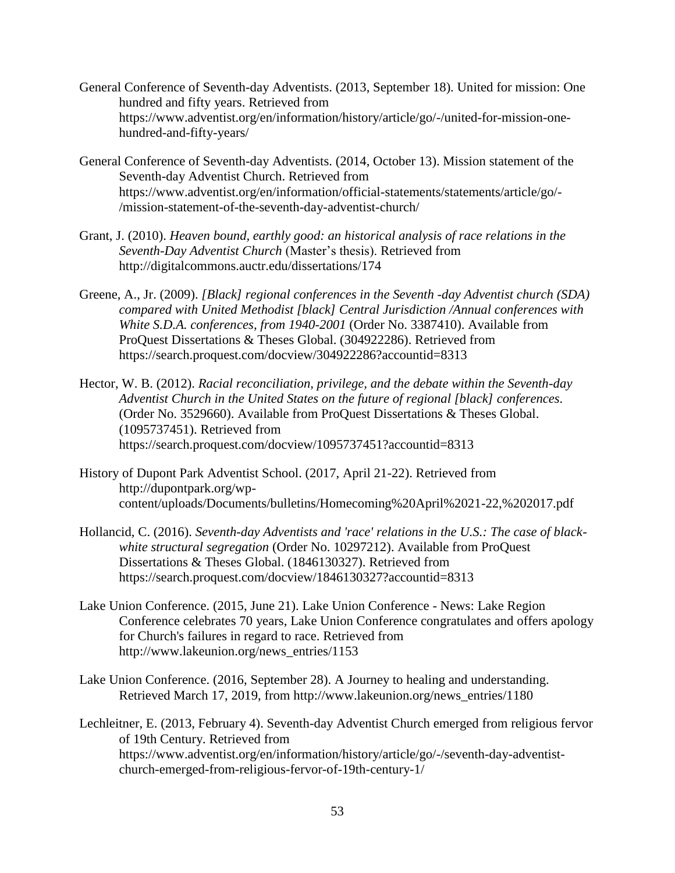- General Conference of Seventh-day Adventists. (2013, September 18). United for mission: One hundred and fifty years. Retrieved from https://www.adventist.org/en/information/history/article/go/-/united-for-mission-onehundred-and-fifty-years/
- General Conference of Seventh-day Adventists. (2014, October 13). Mission statement of the Seventh-day Adventist Church. Retrieved from https://www.adventist.org/en/information/official-statements/statements/article/go/- /mission-statement-of-the-seventh-day-adventist-church/
- Grant, J. (2010). *Heaven bound, earthly good: an historical analysis of race relations in the Seventh-Day Adventist Church* (Master's thesis). Retrieved from <http://digitalcommons.auctr.edu/dissertations/174>
- Greene, A., Jr. (2009). *[Black] regional conferences in the Seventh -day Adventist church (SDA) compared with United Methodist [black] Central Jurisdiction /Annual conferences with White S.D.A. conferences, from 1940-2001* (Order No. 3387410). Available from ProQuest Dissertations & Theses Global. (304922286). Retrieved from https://search.proquest.com/docview/304922286?accountid=8313
- Hector, W. B. (2012). *Racial reconciliation, privilege, and the debate within the Seventh-day Adventist Church in the United States on the future of regional [black] conferences.* (Order No. 3529660). Available from ProQuest Dissertations & Theses Global. (1095737451). Retrieved from https://search.proquest.com/docview/1095737451?accountid=8313
- History of Dupont Park Adventist School. (2017, April 21-22). Retrieved from http://dupontpark.org/wpcontent/uploads/Documents/bulletins/Homecoming%20April%2021-22,%202017.pdf
- Hollancid, C. (2016). *Seventh-day Adventists and 'race' relations in the U.S.: The case of blackwhite structural segregation* (Order No. 10297212). Available from ProQuest Dissertations & Theses Global. (1846130327). Retrieved from https://search.proquest.com/docview/1846130327?accountid=8313
- Lake Union Conference. (2015, June 21). Lake Union Conference News: Lake Region Conference celebrates 70 years, Lake Union Conference congratulates and offers apology for Church's failures in regard to race. Retrieved from http://www.lakeunion.org/news\_entries/1153
- Lake Union Conference. (2016, September 28). A Journey to healing and understanding. Retrieved March 17, 2019, from http://www.lakeunion.org/news\_entries/1180
- Lechleitner, E. (2013, February 4). Seventh-day Adventist Church emerged from religious fervor of 19th Century. Retrieved from https://www.adventist.org/en/information/history/article/go/-/seventh-day-adventistchurch-emerged-from-religious-fervor-of-19th-century-1/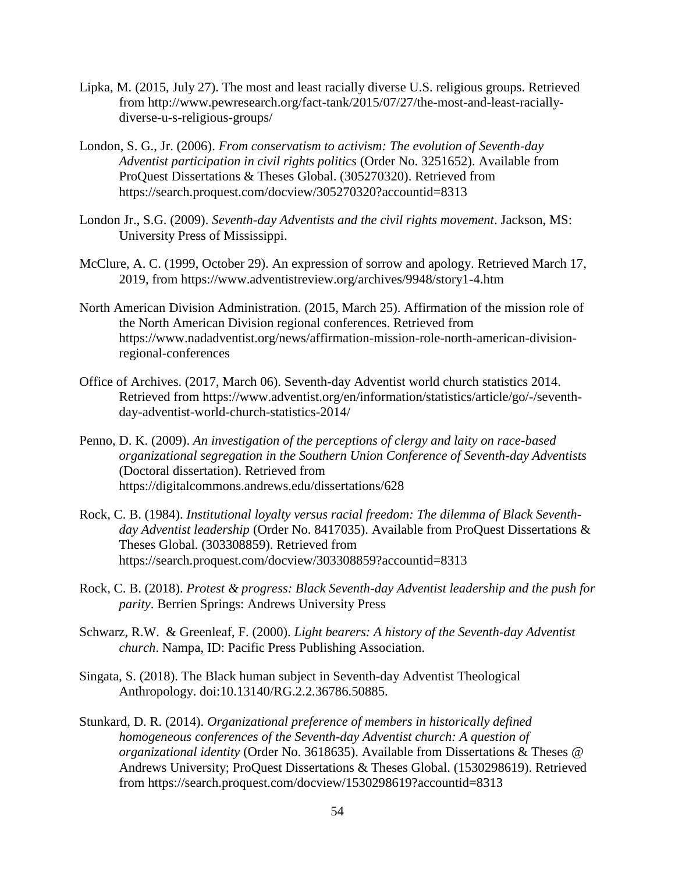- Lipka, M. (2015, July 27). The most and least racially diverse U.S. religious groups. Retrieved from [http://www.pewresearch.org/fact-tank/2015/07/27/the-most-and-least-racially](http://www.pewresearch.org/fact-tank/2015/07/27/the-most-and-least-racially-diverse-u-s-religious-groups/)[diverse-u-s-religious-groups/](http://www.pewresearch.org/fact-tank/2015/07/27/the-most-and-least-racially-diverse-u-s-religious-groups/)
- London, S. G., Jr. (2006). *From conservatism to activism: The evolution of Seventh-day Adventist participation in civil rights politics* (Order No. 3251652). Available from ProQuest Dissertations & Theses Global. (305270320). Retrieved from https://search.proquest.com/docview/305270320?accountid=8313
- London Jr., S.G. (2009). *Seventh-day Adventists and the civil rights movement*. Jackson, MS: University Press of Mississippi.
- McClure, A. C. (1999, October 29). An expression of sorrow and apology. Retrieved March 17, 2019, from https://www.adventistreview.org/archives/9948/story1-4.htm
- North American Division Administration. (2015, March 25). Affirmation of the mission role of the North American Division regional conferences. Retrieved from https://www.nadadventist.org/news/affirmation-mission-role-north-american-divisionregional-conferences
- Office of Archives. (2017, March 06). Seventh-day Adventist world church statistics 2014. Retrieved from https://www.adventist.org/en/information/statistics/article/go/-/seventhday-adventist-world-church-statistics-2014/
- Penno, D. K. (2009). *An investigation of the perceptions of clergy and laity on race-based organizational segregation in the Southern Union Conference of Seventh-day Adventists* (Doctoral dissertation). Retrieved from https://digitalcommons.andrews.edu/dissertations/628
- Rock, C. B. (1984). *Institutional loyalty versus racial freedom: The dilemma of Black Seventhday Adventist leadership* (Order No. 8417035). Available from ProQuest Dissertations & Theses Global. (303308859). Retrieved from https://search.proquest.com/docview/303308859?accountid=8313
- Rock, C. B. (2018). *Protest & progress: Black Seventh-day Adventist leadership and the push for parity*. Berrien Springs: Andrews University Press
- Schwarz, R.W. & Greenleaf, F. (2000). *Light bearers: A history of the Seventh-day Adventist church*. Nampa, ID: Pacific Press Publishing Association.
- Singata, S. (2018). The Black human subject in Seventh-day Adventist Theological Anthropology. doi:10.13140/RG.2.2.36786.50885.
- Stunkard, D. R. (2014). *Organizational preference of members in historically defined homogeneous conferences of the Seventh-day Adventist church: A question of organizational identity* (Order No. 3618635). Available from Dissertations & Theses @ Andrews University; ProQuest Dissertations & Theses Global. (1530298619). Retrieved from https://search.proquest.com/docview/1530298619?accountid=8313